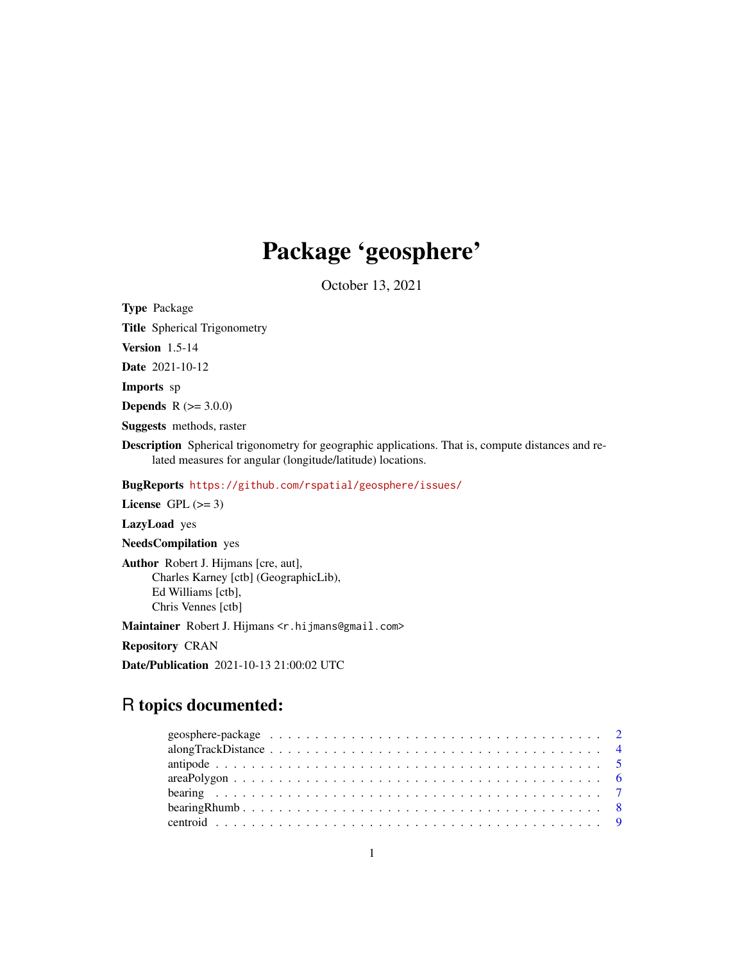# Package 'geosphere'

October 13, 2021

<span id="page-0-0"></span>Type Package

Title Spherical Trigonometry

Version 1.5-14

Date 2021-10-12

Imports sp

**Depends** R  $(>= 3.0.0)$ 

Suggests methods, raster

Description Spherical trigonometry for geographic applications. That is, compute distances and related measures for angular (longitude/latitude) locations.

BugReports <https://github.com/rspatial/geosphere/issues/>

License GPL  $(>= 3)$ 

LazyLoad yes

NeedsCompilation yes

Author Robert J. Hijmans [cre, aut], Charles Karney [ctb] (GeographicLib), Ed Williams [ctb], Chris Vennes [ctb]

Maintainer Robert J. Hijmans <r.hijmans@gmail.com>

Repository CRAN

Date/Publication 2021-10-13 21:00:02 UTC

# R topics documented: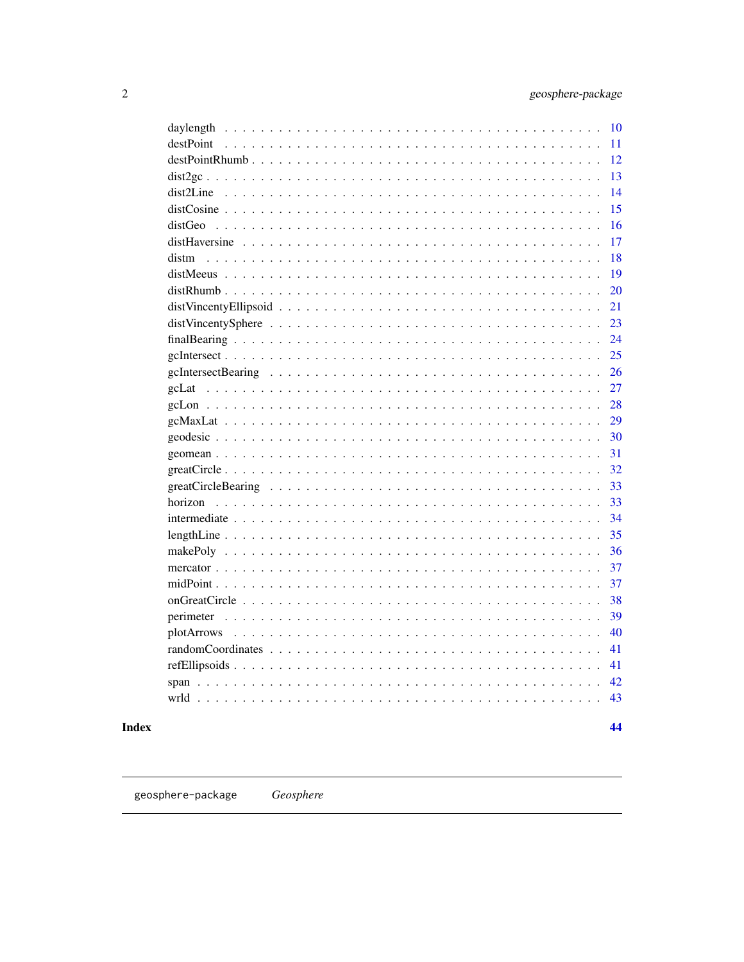<span id="page-1-0"></span>

| 10        |    |
|-----------|----|
| destPoint | 11 |
|           | 12 |
|           | 13 |
|           | 14 |
|           | 15 |
|           | 16 |
|           | 17 |
|           | 18 |
|           | 19 |
|           | 20 |
|           | 21 |
|           | 23 |
|           | 24 |
|           | 25 |
|           | 26 |
|           | 27 |
|           | 28 |
|           | 29 |
|           | 30 |
|           | 31 |
|           | 32 |
|           | 33 |
|           | 33 |
|           | 34 |
|           | 35 |
|           | 36 |
|           | 37 |
|           | 37 |
|           | 38 |
|           | 39 |
|           | 40 |
|           | 41 |
|           | 41 |
| 42        |    |
| 43        |    |

# **Index**

44

geosphere-package  $\sc Geosphere$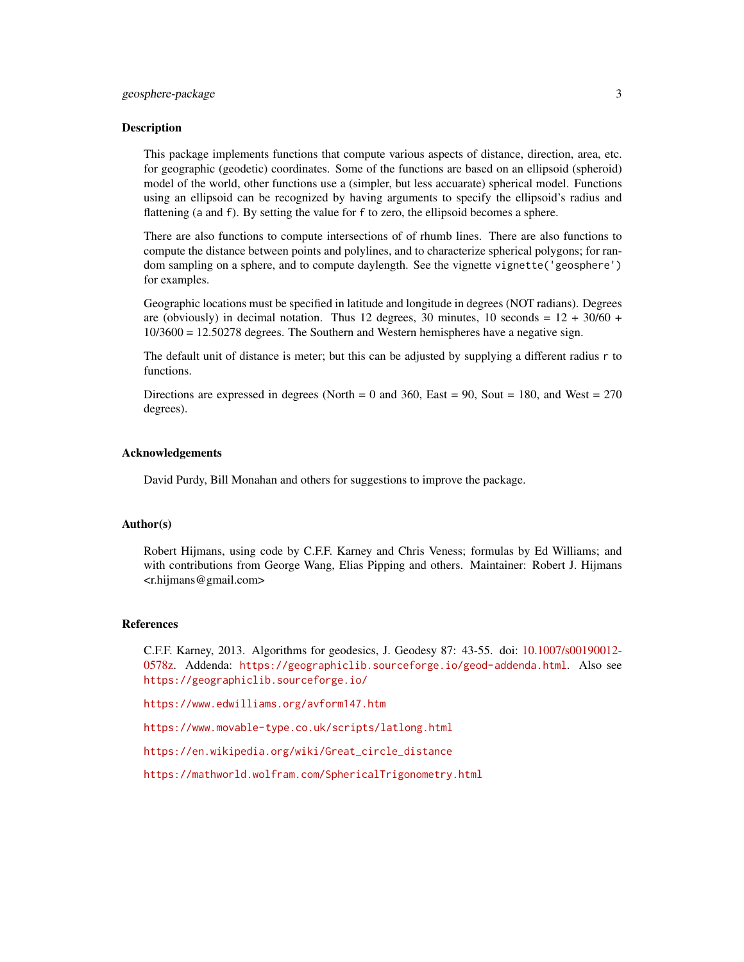This package implements functions that compute various aspects of distance, direction, area, etc. for geographic (geodetic) coordinates. Some of the functions are based on an ellipsoid (spheroid) model of the world, other functions use a (simpler, but less accuarate) spherical model. Functions using an ellipsoid can be recognized by having arguments to specify the ellipsoid's radius and flattening (a and f). By setting the value for f to zero, the ellipsoid becomes a sphere.

There are also functions to compute intersections of of rhumb lines. There are also functions to compute the distance between points and polylines, and to characterize spherical polygons; for random sampling on a sphere, and to compute daylength. See the vignette vignette ('geosphere') for examples.

Geographic locations must be specified in latitude and longitude in degrees (NOT radians). Degrees are (obviously) in decimal notation. Thus 12 degrees, 30 minutes, 10 seconds =  $12 + 30/60 +$ 10/3600 = 12.50278 degrees. The Southern and Western hemispheres have a negative sign.

The default unit of distance is meter; but this can be adjusted by supplying a different radius r to functions.

Directions are expressed in degrees (North  $= 0$  and 360, East  $= 90$ , Sout  $= 180$ , and West  $= 270$ degrees).

#### Acknowledgements

David Purdy, Bill Monahan and others for suggestions to improve the package.

#### Author(s)

Robert Hijmans, using code by C.F.F. Karney and Chris Veness; formulas by Ed Williams; and with contributions from George Wang, Elias Pipping and others. Maintainer: Robert J. Hijmans <r.hijmans@gmail.com>

#### References

C.F.F. Karney, 2013. Algorithms for geodesics, J. Geodesy 87: 43-55. doi: [10.1007/s00190012-](https://doi.org/10.1007/s00190-012-0578-z) [0578z.](https://doi.org/10.1007/s00190-012-0578-z) Addenda: <https://geographiclib.sourceforge.io/geod-addenda.html>. Also see <https://geographiclib.sourceforge.io/>

<https://www.edwilliams.org/avform147.htm>

<https://www.movable-type.co.uk/scripts/latlong.html>

[https://en.wikipedia.org/wiki/Great\\_circle\\_distance](https://en.wikipedia.org/wiki/Great_circle_distance)

<https://mathworld.wolfram.com/SphericalTrigonometry.html>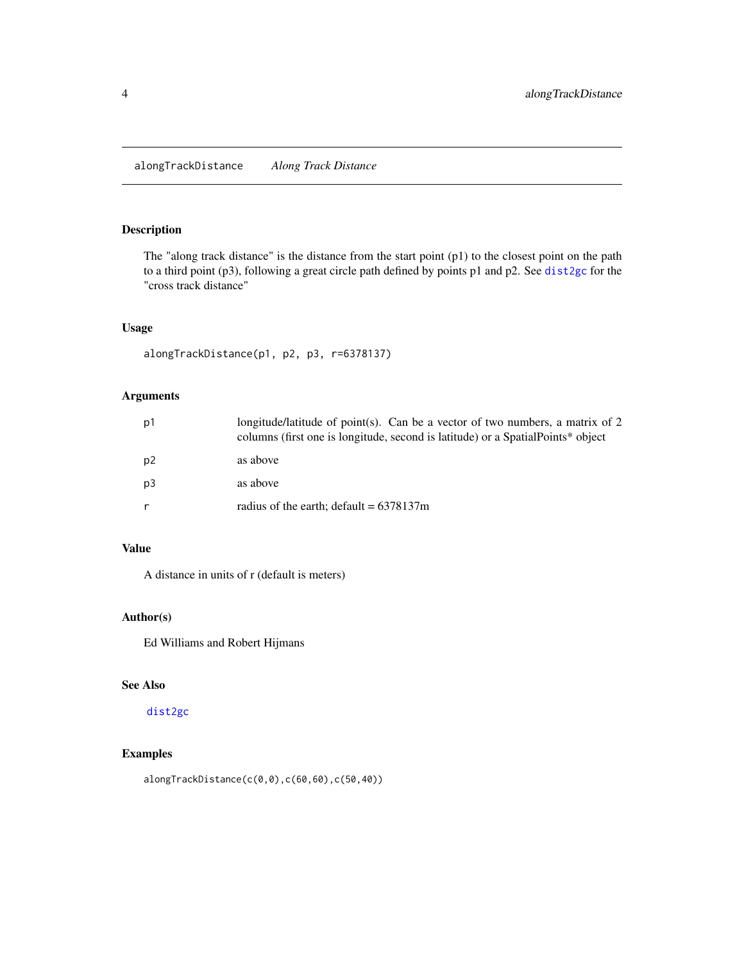<span id="page-3-1"></span><span id="page-3-0"></span>alongTrackDistance *Along Track Distance*

# Description

The "along track distance" is the distance from the start point (p1) to the closest point on the path to a third point (p3), following a great circle path defined by points p1 and p2. See [dist2gc](#page-12-1) for the "cross track distance"

# Usage

```
alongTrackDistance(p1, p2, p3, r=6378137)
```
#### Arguments

| p <sub>1</sub> | longitude/latitude of point(s). Can be a vector of two numbers, a matrix of 2<br>columns (first one is longitude, second is latitude) or a Spatial Points* object |
|----------------|-------------------------------------------------------------------------------------------------------------------------------------------------------------------|
| p2             | as above                                                                                                                                                          |
| p <sub>3</sub> | as above                                                                                                                                                          |
| r              | radius of the earth; default = $6378137m$                                                                                                                         |

# Value

A distance in units of r (default is meters)

# Author(s)

Ed Williams and Robert Hijmans

## See Also

[dist2gc](#page-12-1)

# Examples

alongTrackDistance(c(0,0),c(60,60),c(50,40))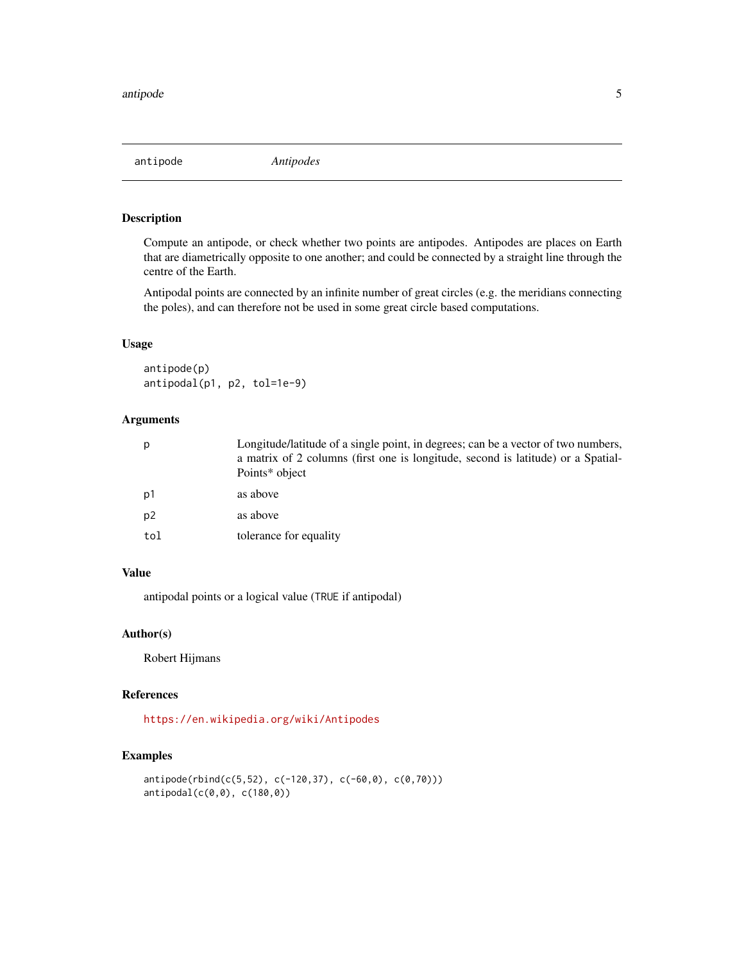<span id="page-4-1"></span><span id="page-4-0"></span>

Compute an antipode, or check whether two points are antipodes. Antipodes are places on Earth that are diametrically opposite to one another; and could be connected by a straight line through the centre of the Earth.

Antipodal points are connected by an infinite number of great circles (e.g. the meridians connecting the poles), and can therefore not be used in some great circle based computations.

#### Usage

antipode(p) antipodal(p1, p2, tol=1e-9)

# Arguments

| p   | Longitude/latitude of a single point, in degrees; can be a vector of two numbers,<br>a matrix of 2 columns (first one is longitude, second is latitude) or a Spatial-<br>Points* object |
|-----|-----------------------------------------------------------------------------------------------------------------------------------------------------------------------------------------|
| p1  | as above                                                                                                                                                                                |
| p2  | as above                                                                                                                                                                                |
| tol | tolerance for equality                                                                                                                                                                  |
|     |                                                                                                                                                                                         |

# Value

antipodal points or a logical value (TRUE if antipodal)

#### Author(s)

Robert Hijmans

# References

<https://en.wikipedia.org/wiki/Antipodes>

```
antipode(rbind(c(5,52), c(-120,37), c(-60,0), c(0,70)))
antipodal(c(0,0), c(180,0))
```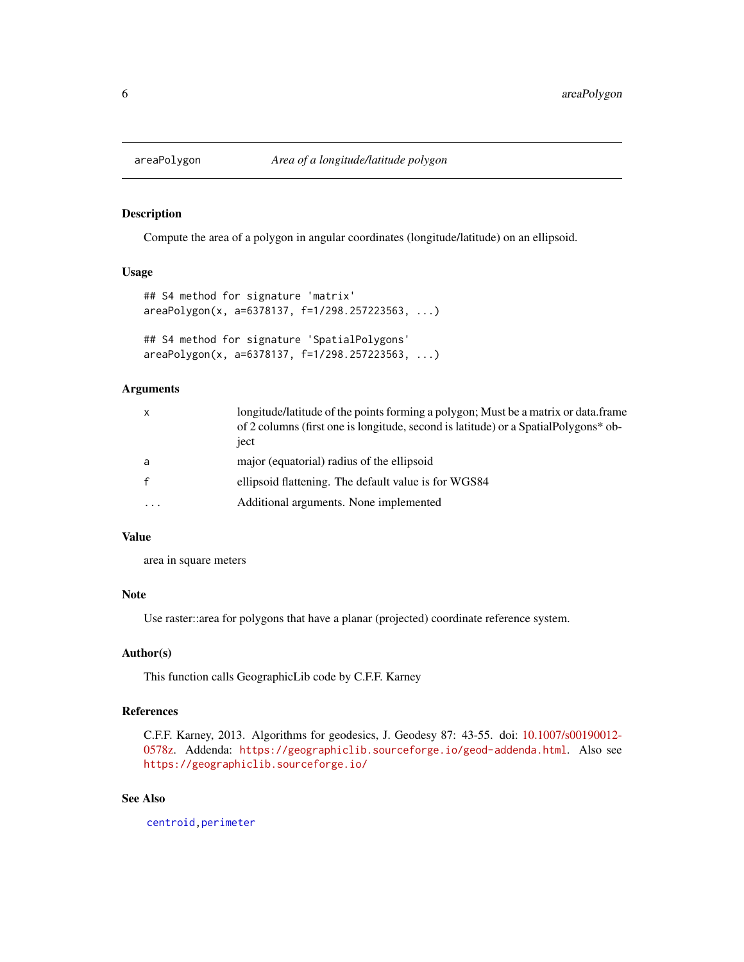<span id="page-5-1"></span><span id="page-5-0"></span>

Compute the area of a polygon in angular coordinates (longitude/latitude) on an ellipsoid.

#### Usage

```
## S4 method for signature 'matrix'
areaPolygon(x, a=6378137, f=1/298.257223563, ...)
## S4 method for signature 'SpatialPolygons'
areaPolygon(x, a=6378137, f=1/298.257223563, ...)
```
# Arguments

| $\mathsf{x}$            | longitude/latitude of the points forming a polygon; Must be a matrix or data.frame<br>of 2 columns (first one is longitude, second is latitude) or a Spatial Polygons* ob-<br>iect |
|-------------------------|------------------------------------------------------------------------------------------------------------------------------------------------------------------------------------|
| a                       | major (equatorial) radius of the ellipsoid                                                                                                                                         |
| $\mathbf{f}$            | ellipsoid flattening. The default value is for WGS84                                                                                                                               |
| $\cdot$ $\cdot$ $\cdot$ | Additional arguments. None implemented                                                                                                                                             |

# Value

area in square meters

## Note

Use raster::area for polygons that have a planar (projected) coordinate reference system.

#### Author(s)

This function calls GeographicLib code by C.F.F. Karney

#### References

C.F.F. Karney, 2013. Algorithms for geodesics, J. Geodesy 87: 43-55. doi: [10.1007/s00190012-](https://doi.org/10.1007/s00190-012-0578-z) [0578z.](https://doi.org/10.1007/s00190-012-0578-z) Addenda: <https://geographiclib.sourceforge.io/geod-addenda.html>. Also see <https://geographiclib.sourceforge.io/>

#### See Also

[centroid,](#page-8-1)[perimeter](#page-38-1)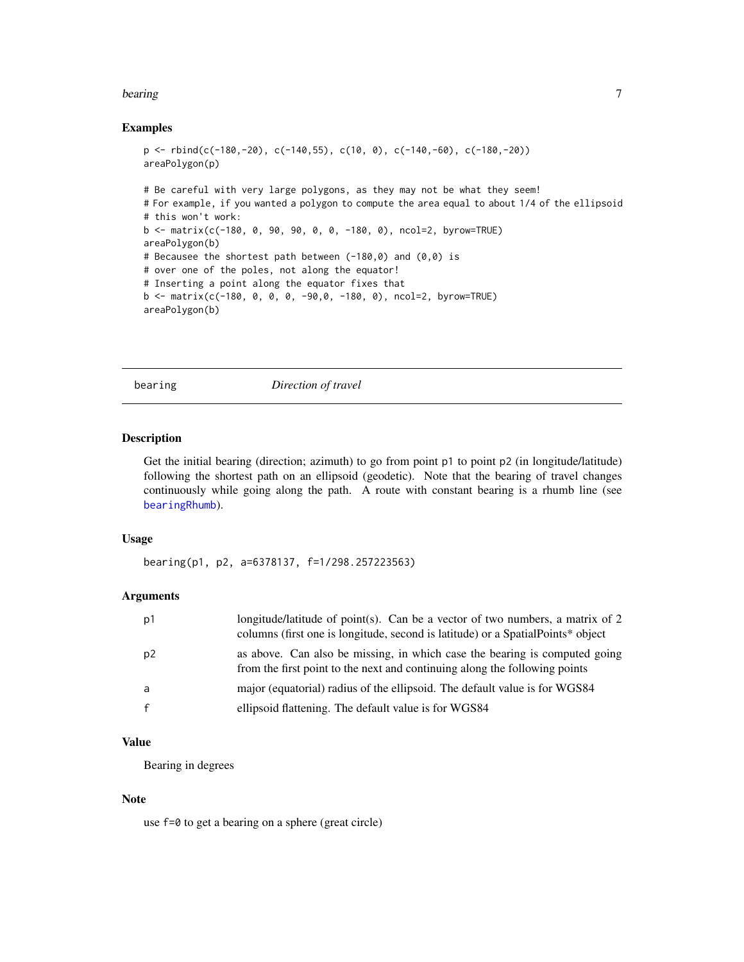#### <span id="page-6-0"></span>bearing 7 and 2008 and 2008 and 2008 and 2008 and 2008 and 2008 and 2008 and 2008 and 2008 and 2008 and 2008 and 2008 and 2008 and 2008 and 2008 and 2008 and 2008 and 2008 and 2008 and 2008 and 2008 and 2008 and 2008 and 2

#### Examples

```
p \leftarrow \text{rbind}(c(-180, -20), c(-140, 55), c(10, 0), c(-140, -60), c(-180, -20))areaPolygon(p)
# Be careful with very large polygons, as they may not be what they seem!
# For example, if you wanted a polygon to compute the area equal to about 1/4 of the ellipsoid
# this won't work:
b \le matrix(c(-180, 0, 90, 90, 0, 0, -180, 0), ncol=2, byrow=TRUE)
areaPolygon(b)
# Becausee the shortest path between (-180,0) and (0,0) is
# over one of the poles, not along the equator!
# Inserting a point along the equator fixes that
b \le - matrix(c(-180, 0, 0, 0, -90,0, -180, 0), ncol=2, byrow=TRUE)
areaPolygon(b)
```
<span id="page-6-1"></span>bearing *Direction of travel*

#### Description

Get the initial bearing (direction; azimuth) to go from point p1 to point p2 (in longitude/latitude) following the shortest path on an ellipsoid (geodetic). Note that the bearing of travel changes continuously while going along the path. A route with constant bearing is a rhumb line (see [bearingRhumb](#page-7-1)).

#### Usage

bearing(p1, p2, a=6378137, f=1/298.257223563)

#### Arguments

| p1           | longitude/latitude of point(s). Can be a vector of two numbers, a matrix of 2<br>columns (first one is longitude, second is latitude) or a SpatialPoints* object |
|--------------|------------------------------------------------------------------------------------------------------------------------------------------------------------------|
| p2           | as above. Can also be missing, in which case the bearing is computed going<br>from the first point to the next and continuing along the following points         |
| a            | major (equatorial) radius of the ellipsoid. The default value is for WGS84                                                                                       |
| $\mathbf{f}$ | ellipsoid flattening. The default value is for WGS84                                                                                                             |

# Value

Bearing in degrees

#### Note

use f=0 to get a bearing on a sphere (great circle)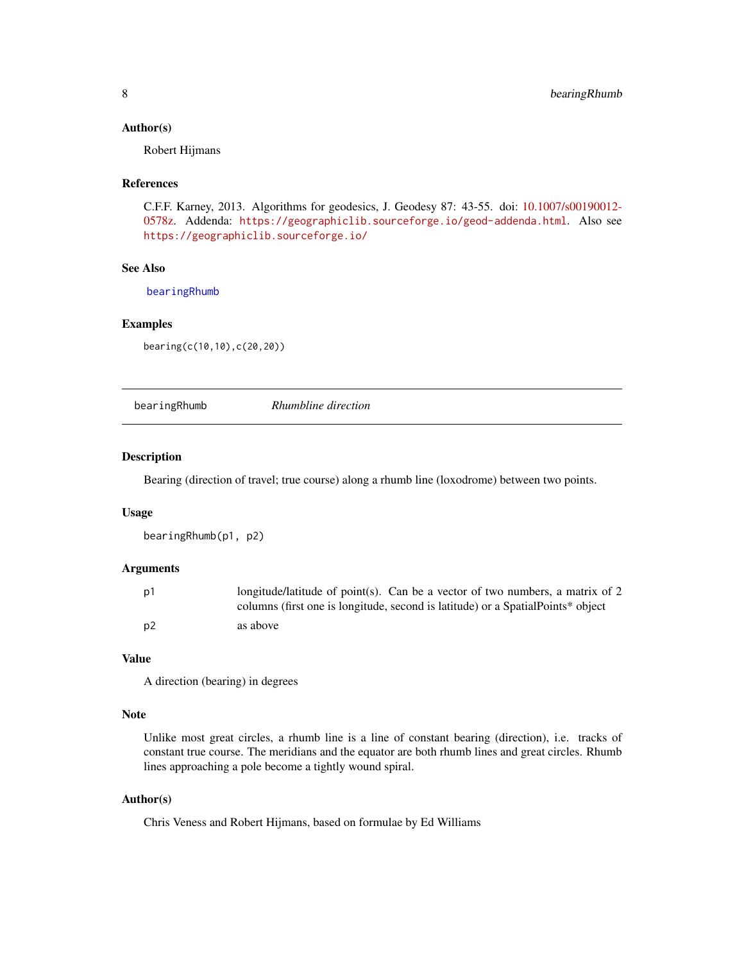#### <span id="page-7-0"></span>Author(s)

Robert Hijmans

#### References

C.F.F. Karney, 2013. Algorithms for geodesics, J. Geodesy 87: 43-55. doi: [10.1007/s00190012-](https://doi.org/10.1007/s00190-012-0578-z) [0578z.](https://doi.org/10.1007/s00190-012-0578-z) Addenda: <https://geographiclib.sourceforge.io/geod-addenda.html>. Also see <https://geographiclib.sourceforge.io/>

# See Also

[bearingRhumb](#page-7-1)

#### Examples

bearing(c(10,10),c(20,20))

<span id="page-7-1"></span>bearingRhumb *Rhumbline direction*

#### Description

Bearing (direction of travel; true course) along a rhumb line (loxodrome) between two points.

#### Usage

```
bearingRhumb(p1, p2)
```
#### Arguments

| p1   | longitude/latitude of point(s). Can be a vector of two numbers, a matrix of 2    |
|------|----------------------------------------------------------------------------------|
|      | columns (first one is longitude, second is latitude) or a Spatial Points* object |
| . p2 | as above                                                                         |

## Value

A direction (bearing) in degrees

# Note

Unlike most great circles, a rhumb line is a line of constant bearing (direction), i.e. tracks of constant true course. The meridians and the equator are both rhumb lines and great circles. Rhumb lines approaching a pole become a tightly wound spiral.

#### Author(s)

Chris Veness and Robert Hijmans, based on formulae by Ed Williams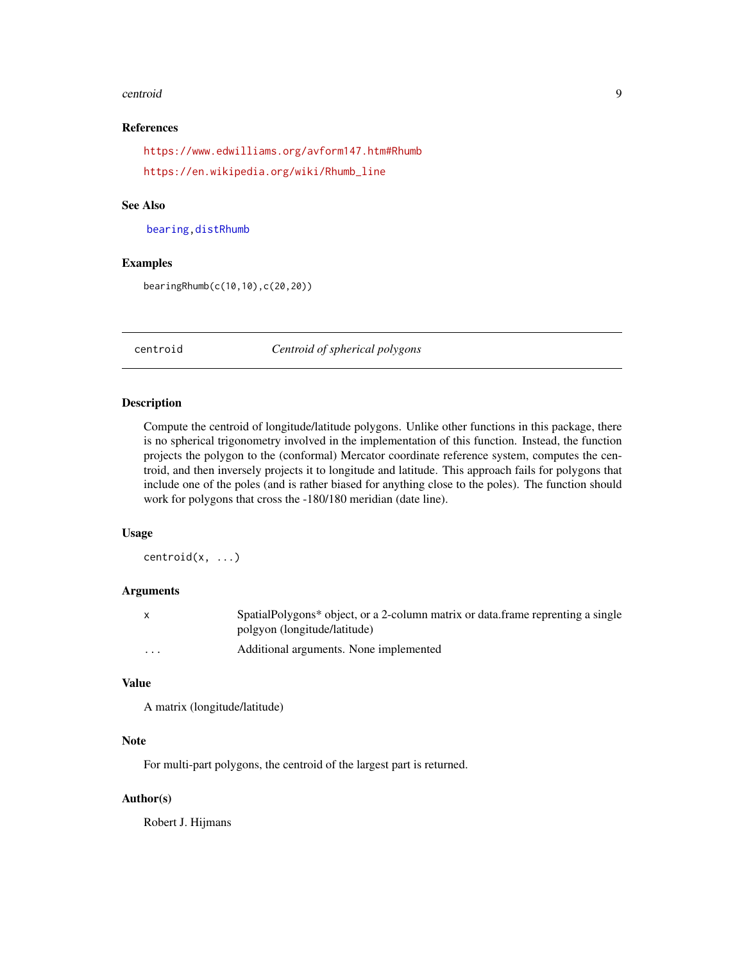#### <span id="page-8-0"></span>centroid 9

#### References

<https://www.edwilliams.org/avform147.htm#Rhumb> [https://en.wikipedia.org/wiki/Rhumb\\_line](https://en.wikipedia.org/wiki/Rhumb_line)

#### See Also

[bearing,](#page-6-1)[distRhumb](#page-19-1)

#### Examples

bearingRhumb(c(10,10),c(20,20))

<span id="page-8-1"></span>centroid *Centroid of spherical polygons*

#### Description

Compute the centroid of longitude/latitude polygons. Unlike other functions in this package, there is no spherical trigonometry involved in the implementation of this function. Instead, the function projects the polygon to the (conformal) Mercator coordinate reference system, computes the centroid, and then inversely projects it to longitude and latitude. This approach fails for polygons that include one of the poles (and is rather biased for anything close to the poles). The function should work for polygons that cross the -180/180 meridian (date line).

#### Usage

centroid(x, ...)

#### Arguments

| X       | SpatialPolygons* object, or a 2-column matrix or data.frame reprenting a single |
|---------|---------------------------------------------------------------------------------|
|         | polgyon (longitude/latitude)                                                    |
| $\cdot$ | Additional arguments. None implemented                                          |

#### Value

```
A matrix (longitude/latitude)
```
# Note

For multi-part polygons, the centroid of the largest part is returned.

#### Author(s)

Robert J. Hijmans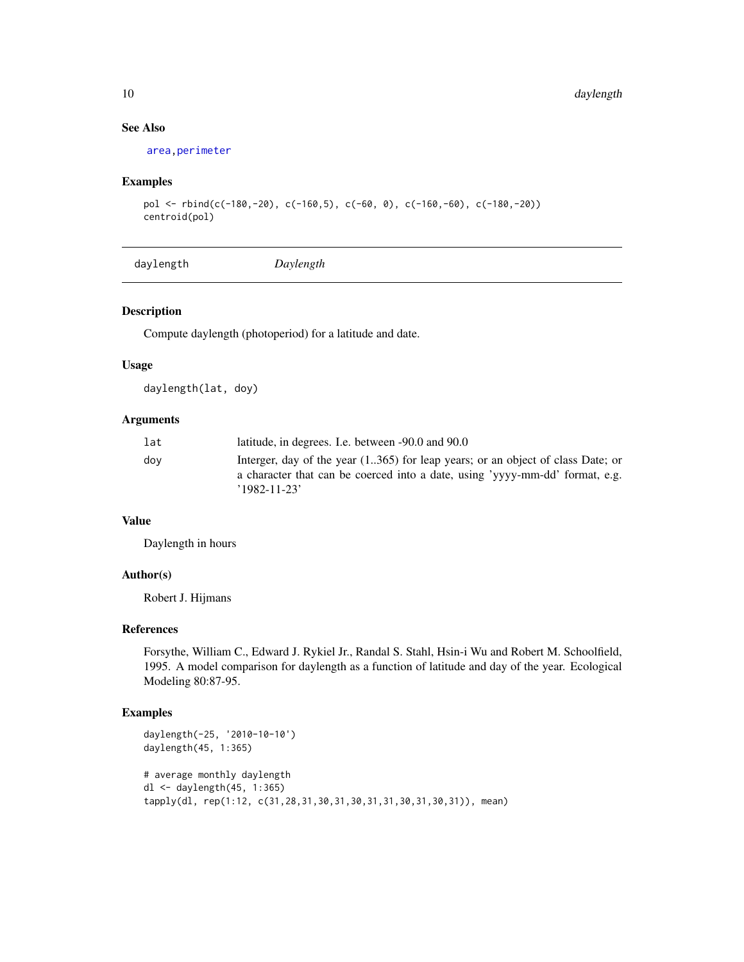# See Also

[area,](#page-0-0)[perimeter](#page-38-1)

# Examples

```
pol <- rbind(c(-180,-20), c(-160,5), c(-60, 0), c(-160,-60), c(-180,-20))
centroid(pol)
```
daylength *Daylength*

#### Description

Compute daylength (photoperiod) for a latitude and date.

#### Usage

daylength(lat, doy)

# Arguments

| lat | latitude, in degrees. I.e. between -90.0 and 90.0                                                                                                                                     |
|-----|---------------------------------------------------------------------------------------------------------------------------------------------------------------------------------------|
| dov | Interger, day of the year (1365) for leap years; or an object of class Date; or<br>a character that can be coerced into a date, using 'yyyy-mm-dd' format, e.g.<br>$'1982 - 11 - 23'$ |

# Value

Daylength in hours

# Author(s)

Robert J. Hijmans

# References

Forsythe, William C., Edward J. Rykiel Jr., Randal S. Stahl, Hsin-i Wu and Robert M. Schoolfield, 1995. A model comparison for daylength as a function of latitude and day of the year. Ecological Modeling 80:87-95.

```
daylength(-25, '2010-10-10')
daylength(45, 1:365)
# average monthly daylength
dl <- daylength(45, 1:365)
tapply(dl, rep(1:12, c(31,28,31,30,31,30,31,31,30,31,30,31)), mean)
```
<span id="page-9-0"></span>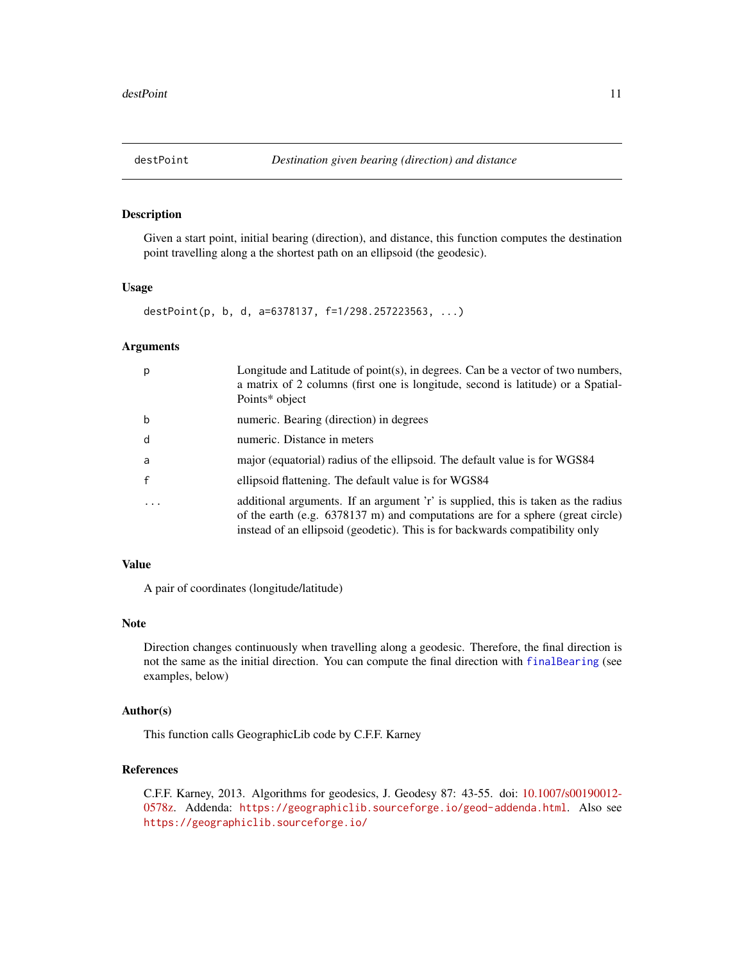<span id="page-10-1"></span><span id="page-10-0"></span>Given a start point, initial bearing (direction), and distance, this function computes the destination point travelling along a the shortest path on an ellipsoid (the geodesic).

#### Usage

```
destPoint(p, b, d, a=6378137, f=1/298.257223563, ...)
```
## Arguments

| p | Longitude and Latitude of point $(s)$ , in degrees. Can be a vector of two numbers,<br>a matrix of 2 columns (first one is longitude, second is latitude) or a Spatial-<br>Points* object                                                             |
|---|-------------------------------------------------------------------------------------------------------------------------------------------------------------------------------------------------------------------------------------------------------|
| b | numeric. Bearing (direction) in degrees                                                                                                                                                                                                               |
| d | numeric. Distance in meters                                                                                                                                                                                                                           |
| a | major (equatorial) radius of the ellipsoid. The default value is for WGS84                                                                                                                                                                            |
|   | ellipsoid flattening. The default value is for WGS84                                                                                                                                                                                                  |
| . | additional arguments. If an argument 'r' is supplied, this is taken as the radius<br>of the earth (e.g. $6378137$ m) and computations are for a sphere (great circle)<br>instead of an ellipsoid (geodetic). This is for backwards compatibility only |

#### Value

A pair of coordinates (longitude/latitude)

### Note

Direction changes continuously when travelling along a geodesic. Therefore, the final direction is not the same as the initial direction. You can compute the final direction with [finalBearing](#page-23-1) (see examples, below)

#### Author(s)

This function calls GeographicLib code by C.F.F. Karney

# References

C.F.F. Karney, 2013. Algorithms for geodesics, J. Geodesy 87: 43-55. doi: [10.1007/s00190012-](https://doi.org/10.1007/s00190-012-0578-z) [0578z.](https://doi.org/10.1007/s00190-012-0578-z) Addenda: <https://geographiclib.sourceforge.io/geod-addenda.html>. Also see <https://geographiclib.sourceforge.io/>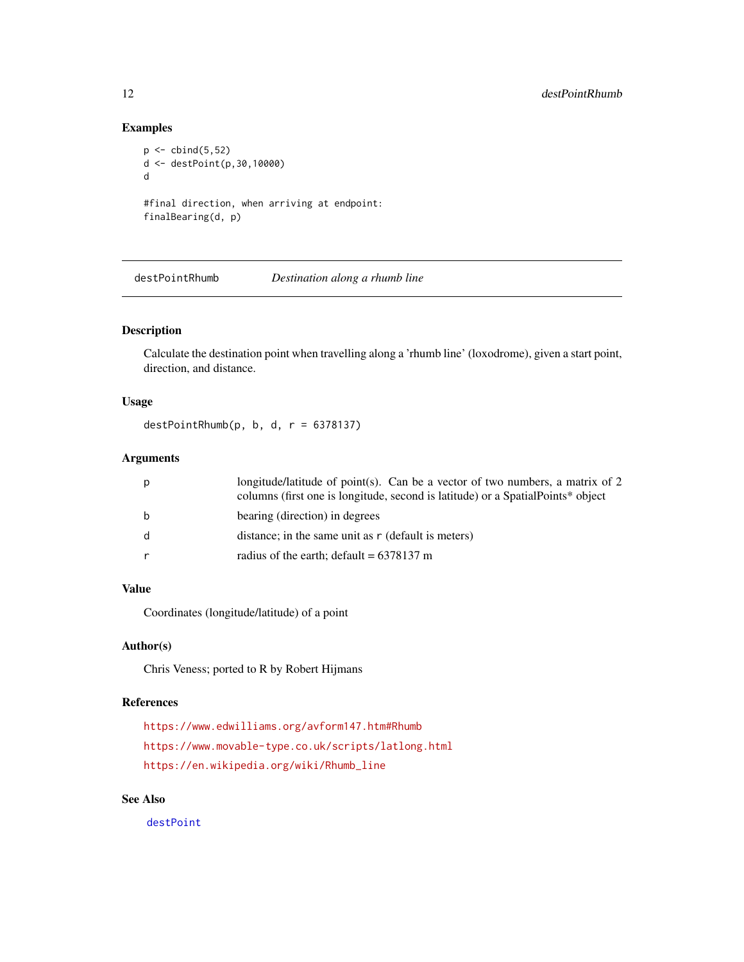# Examples

```
p \leftarrow \text{cbind}(5, 52)d <- destPoint(p,30,10000)
d
#final direction, when arriving at endpoint:
finalBearing(d, p)
```
destPointRhumb *Destination along a rhumb line*

# Description

Calculate the destination point when travelling along a 'rhumb line' (loxodrome), given a start point, direction, and distance.

# Usage

destPointRhumb( $p, b, d, r = 6378137$ )

# Arguments

| p            | longitude/latitude of point(s). Can be a vector of two numbers, a matrix of 2<br>columns (first one is longitude, second is latitude) or a Spatial Points* object |
|--------------|-------------------------------------------------------------------------------------------------------------------------------------------------------------------|
| b            | bearing (direction) in degrees                                                                                                                                    |
| <sub>d</sub> | distance; in the same unit as r (default is meters)                                                                                                               |
| $\mathsf{r}$ | radius of the earth; default = $6378137$ m                                                                                                                        |

# Value

Coordinates (longitude/latitude) of a point

# Author(s)

Chris Veness; ported to R by Robert Hijmans

## References

```
https://www.edwilliams.org/avform147.htm#Rhumb
https://www.movable-type.co.uk/scripts/latlong.html
https://en.wikipedia.org/wiki/Rhumb_line
```
# See Also

[destPoint](#page-10-1)

<span id="page-11-0"></span>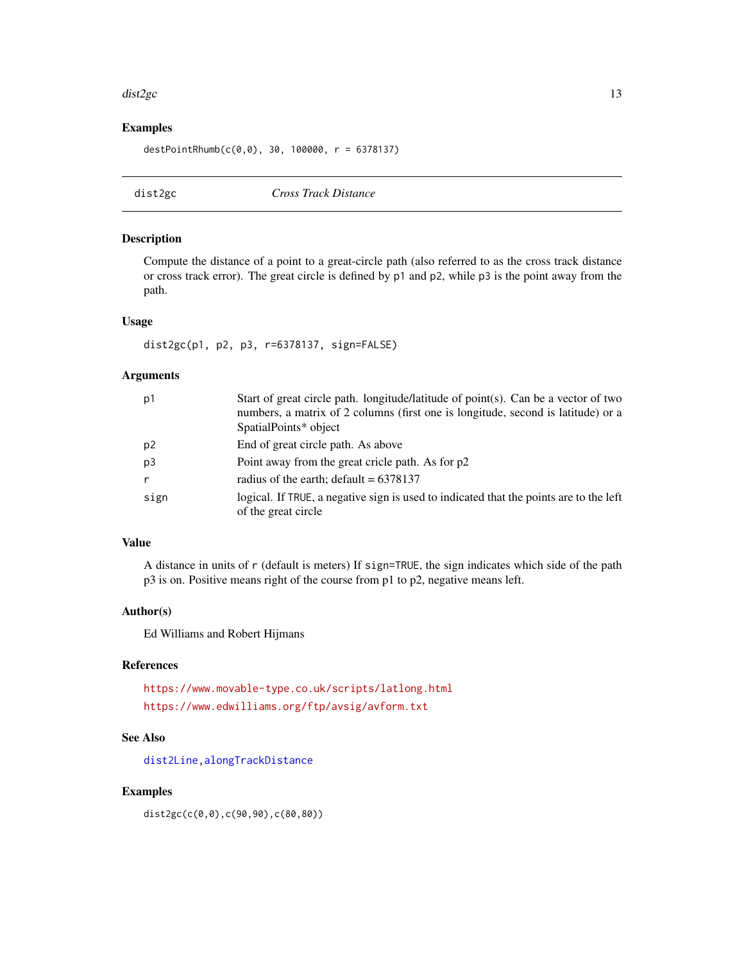#### <span id="page-12-0"></span>dist $2gc$  13

# Examples

destPointRhumb(c(0,0), 30, 100000, r = 6378137)

<span id="page-12-1"></span>dist2gc *Cross Track Distance*

#### Description

Compute the distance of a point to a great-circle path (also referred to as the cross track distance or cross track error). The great circle is defined by p1 and p2, while p3 is the point away from the path.

## Usage

dist2gc(p1, p2, p3, r=6378137, sign=FALSE)

# Arguments

| p1             | Start of great circle path. longitude/latitude of point(s). Can be a vector of two                            |
|----------------|---------------------------------------------------------------------------------------------------------------|
|                | numbers, a matrix of 2 columns (first one is longitude, second is latitude) or a                              |
|                | SpatialPoints* object                                                                                         |
| p <sub>2</sub> | End of great circle path. As above                                                                            |
| p3             | Point away from the great cricle path. As for p2                                                              |
| $\mathsf{r}$   | radius of the earth; default = $6378137$                                                                      |
| sign           | logical. If TRUE, a negative sign is used to indicated that the points are to the left<br>of the great circle |

# Value

A distance in units of r (default is meters) If sign=TRUE, the sign indicates which side of the path p3 is on. Positive means right of the course from p1 to p2, negative means left.

#### Author(s)

Ed Williams and Robert Hijmans

# References

<https://www.movable-type.co.uk/scripts/latlong.html> <https://www.edwilliams.org/ftp/avsig/avform.txt>

#### See Also

[dist2Line](#page-13-1)[,alongTrackDistance](#page-3-1)

#### Examples

dist2gc(c(0,0),c(90,90),c(80,80))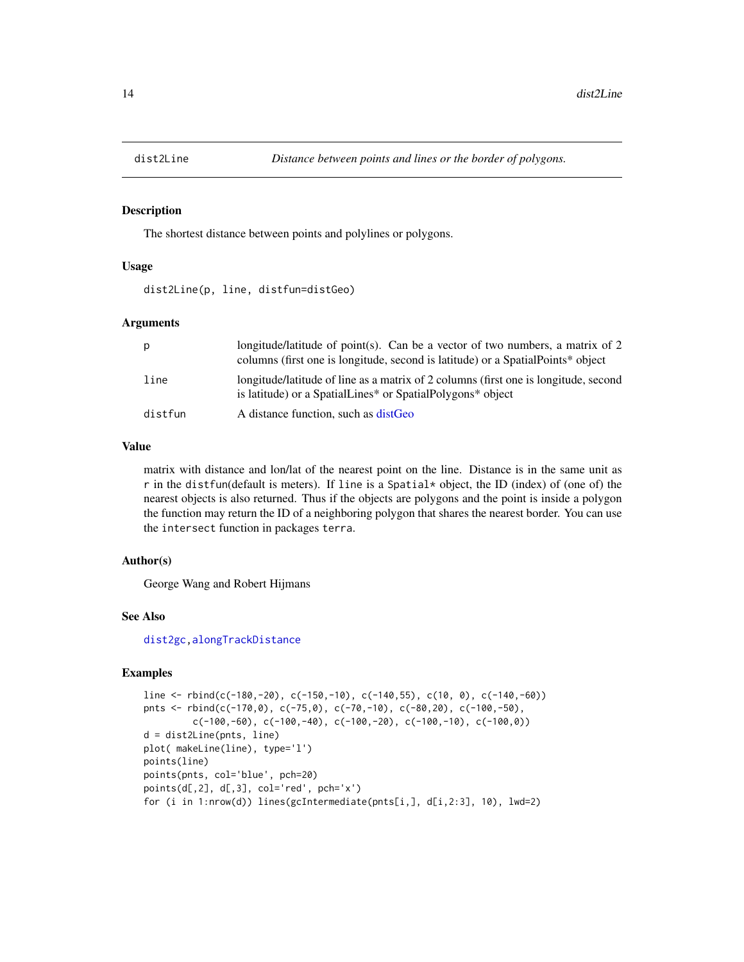<span id="page-13-1"></span><span id="page-13-0"></span>

The shortest distance between points and polylines or polygons.

# Usage

dist2Line(p, line, distfun=distGeo)

#### Arguments

| р       | longitude/latitude of point(s). Can be a vector of two numbers, a matrix of 2<br>columns (first one is longitude, second is latitude) or a Spatial Points* object         |
|---------|---------------------------------------------------------------------------------------------------------------------------------------------------------------------------|
| line    | longitude/latitude of line as a matrix of 2 columns (first one is longitude, second<br>is latitude) or a SpatialLines <sup>*</sup> or SpatialPolygons <sup>*</sup> object |
| distfun | A distance function, such as distGeo                                                                                                                                      |

## Value

matrix with distance and lon/lat of the nearest point on the line. Distance is in the same unit as r in the distfun(default is meters). If line is a Spatial\* object, the ID (index) of (one of) the nearest objects is also returned. Thus if the objects are polygons and the point is inside a polygon the function may return the ID of a neighboring polygon that shares the nearest border. You can use the intersect function in packages terra.

#### Author(s)

George Wang and Robert Hijmans

#### See Also

[dist2gc](#page-12-1)[,alongTrackDistance](#page-3-1)

```
line <- rbind(c(-180,-20), c(-150,-10), c(-140,55), c(10, 0), c(-140,-60))
pnts <- rbind(c(-170,0), c(-75,0), c(-70,-10), c(-80,20), c(-100,-50),c(-100,-60), c(-100,-40), c(-100,-20), c(-100,-10), c(-100,0))
d = dist2Line(pnts, line)
plot( makeLine(line), type='l')
points(line)
points(pnts, col='blue', pch=20)
points(d[,2], d[,3], col='red', pch='x')
for (i in 1:nrow(d)) lines(gcIntermediate(pnts[i,], d[i,2:3], 10), lwd=2)
```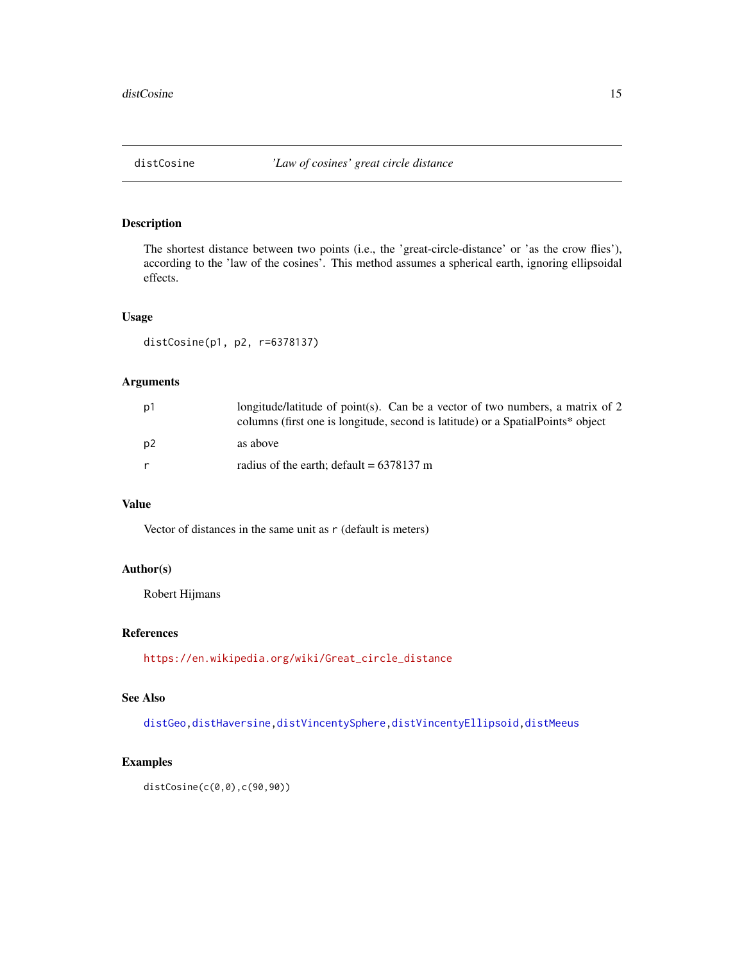<span id="page-14-1"></span><span id="page-14-0"></span>The shortest distance between two points (i.e., the 'great-circle-distance' or 'as the crow flies'), according to the 'law of the cosines'. This method assumes a spherical earth, ignoring ellipsoidal effects.

#### Usage

```
distCosine(p1, p2, r=6378137)
```
# Arguments

| p1             | longitude/latitude of point(s). Can be a vector of two numbers, a matrix of 2<br>columns (first one is longitude, second is latitude) or a Spatial Points* object |
|----------------|-------------------------------------------------------------------------------------------------------------------------------------------------------------------|
| p <sub>2</sub> | as above                                                                                                                                                          |
|                | radius of the earth; default = $6378137$ m                                                                                                                        |

## Value

Vector of distances in the same unit as r (default is meters)

#### Author(s)

Robert Hijmans

#### References

[https://en.wikipedia.org/wiki/Great\\_circle\\_distance](https://en.wikipedia.org/wiki/Great_circle_distance)

# See Also

[distGeo](#page-15-1)[,distHaversine,](#page-16-1)[distVincentySphere,](#page-22-1)[distVincentyEllipsoid](#page-20-1)[,distMeeus](#page-18-1)

# Examples

distCosine(c(0,0),c(90,90))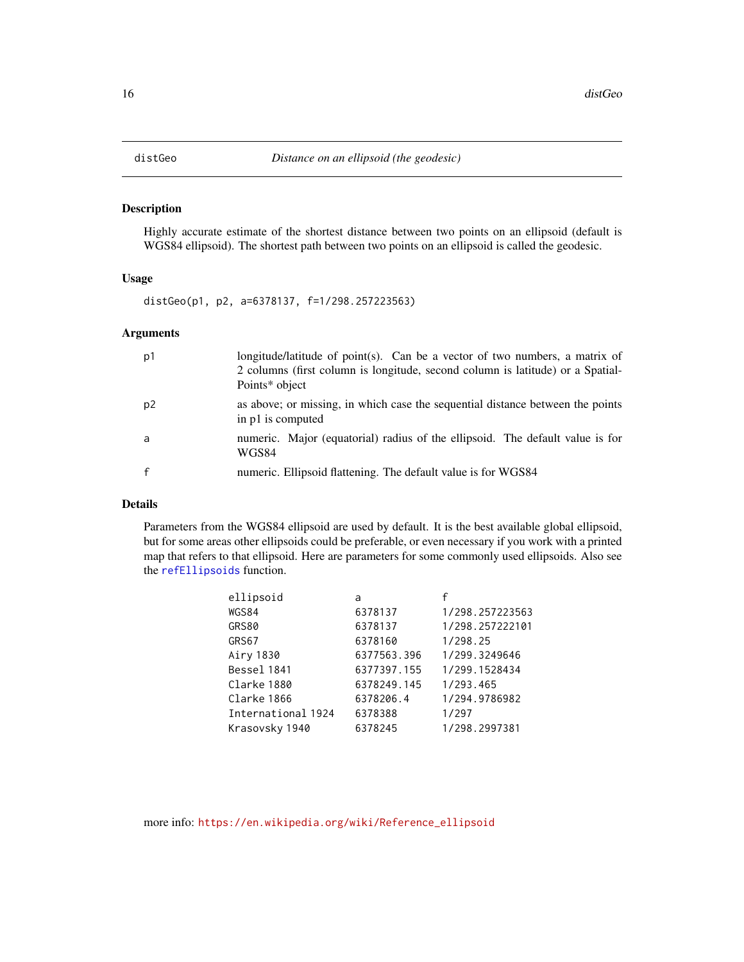<span id="page-15-1"></span><span id="page-15-0"></span>

Highly accurate estimate of the shortest distance between two points on an ellipsoid (default is WGS84 ellipsoid). The shortest path between two points on an ellipsoid is called the geodesic.

#### Usage

distGeo(p1, p2, a=6378137, f=1/298.257223563)

#### Arguments

| p1 | longitude/latitude of point(s). Can be a vector of two numbers, a matrix of<br>2 columns (first column is longitude, second column is latitude) or a Spatial-<br>Points* object |
|----|---------------------------------------------------------------------------------------------------------------------------------------------------------------------------------|
| p2 | as above; or missing, in which case the sequential distance between the points<br>in p1 is computed                                                                             |
| a  | numeric. Major (equatorial) radius of the ellipsoid. The default value is for<br>WGS84                                                                                          |
|    | numeric. Ellipsoid flattening. The default value is for WGS84                                                                                                                   |

## Details

Parameters from the WGS84 ellipsoid are used by default. It is the best available global ellipsoid, but for some areas other ellipsoids could be preferable, or even necessary if you work with a printed map that refers to that ellipsoid. Here are parameters for some commonly used ellipsoids. Also see the [refEllipsoids](#page-40-1) function.

| ellipsoid          | a           |                 |
|--------------------|-------------|-----------------|
| WGS84              | 6378137     | 1/298.257223563 |
| <b>GRS80</b>       | 6378137     | 1/298.257222101 |
| GRS67              | 6378160     | 1/298.25        |
| Airy 1830          | 6377563.396 | 1/299.3249646   |
| Bessel 1841        | 6377397.155 | 1/299.1528434   |
| Clarke 1880        | 6378249.145 | 1/293.465       |
| Clarke 1866        | 6378206.4   | 1/294.9786982   |
| International 1924 | 6378388     | 1/297           |
| Krasovsky 1940     | 6378245     | 1/298.2997381   |

more info: [https://en.wikipedia.org/wiki/Reference\\_ellipsoid](https://en.wikipedia.org/wiki/Reference_ellipsoid)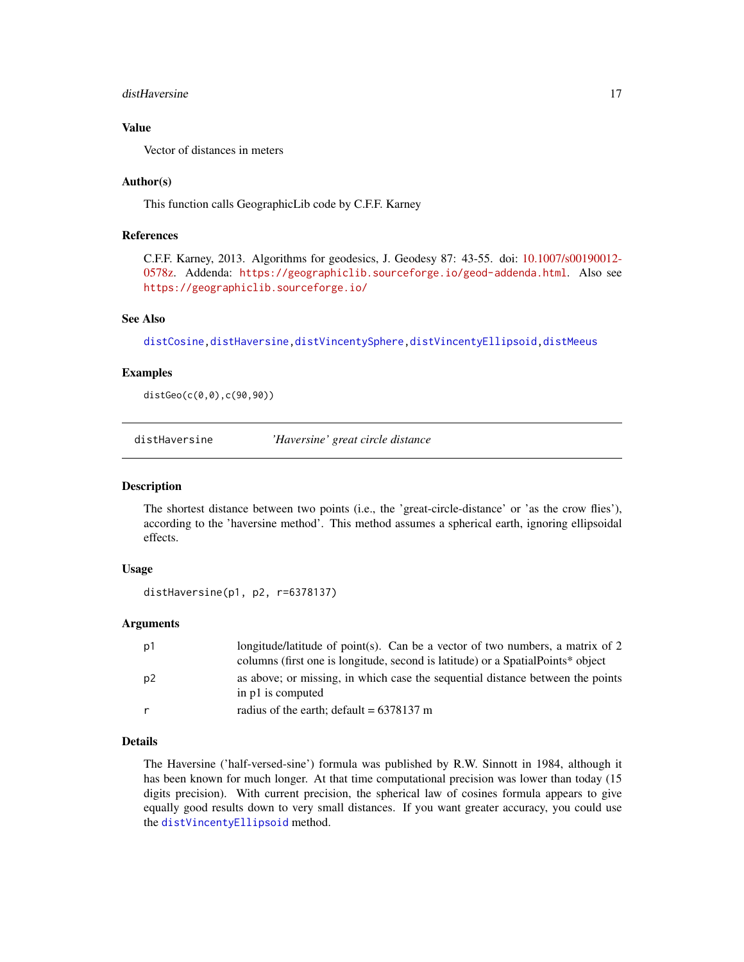#### <span id="page-16-0"></span>distHaversine 17

#### Value

Vector of distances in meters

#### Author(s)

This function calls GeographicLib code by C.F.F. Karney

# References

C.F.F. Karney, 2013. Algorithms for geodesics, J. Geodesy 87: 43-55. doi: [10.1007/s00190012-](https://doi.org/10.1007/s00190-012-0578-z) [0578z.](https://doi.org/10.1007/s00190-012-0578-z) Addenda: <https://geographiclib.sourceforge.io/geod-addenda.html>. Also see <https://geographiclib.sourceforge.io/>

# See Also

[distCosine](#page-14-1)[,distHaversine,](#page-16-1)[distVincentySphere,](#page-22-1)[distVincentyEllipsoid](#page-20-1)[,distMeeus](#page-18-1)

## Examples

distGeo(c(0,0),c(90,90))

<span id="page-16-1"></span>distHaversine *'Haversine' great circle distance*

#### Description

The shortest distance between two points (i.e., the 'great-circle-distance' or 'as the crow flies'), according to the 'haversine method'. This method assumes a spherical earth, ignoring ellipsoidal effects.

#### Usage

```
distHaversine(p1, p2, r=6378137)
```
#### Arguments

| p1             | longitude/latitude of point(s). Can be a vector of two numbers, a matrix of 2                       |
|----------------|-----------------------------------------------------------------------------------------------------|
|                | columns (first one is longitude, second is latitude) or a Spatial Points* object                    |
| p <sub>2</sub> | as above; or missing, in which case the sequential distance between the points<br>in p1 is computed |
| r              | radius of the earth; default = $6378137$ m                                                          |

# Details

The Haversine ('half-versed-sine') formula was published by R.W. Sinnott in 1984, although it has been known for much longer. At that time computational precision was lower than today (15 digits precision). With current precision, the spherical law of cosines formula appears to give equally good results down to very small distances. If you want greater accuracy, you could use the [distVincentyEllipsoid](#page-20-1) method.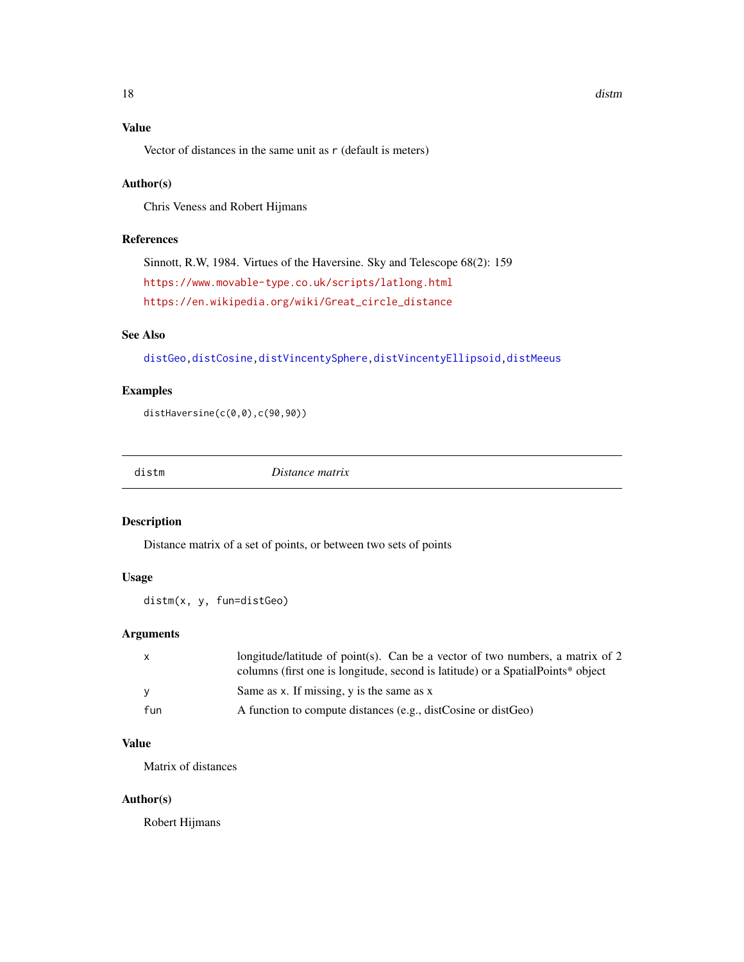# <span id="page-17-0"></span>Value

Vector of distances in the same unit as r (default is meters)

# Author(s)

Chris Veness and Robert Hijmans

# References

Sinnott, R.W, 1984. Virtues of the Haversine. Sky and Telescope 68(2): 159 <https://www.movable-type.co.uk/scripts/latlong.html> [https://en.wikipedia.org/wiki/Great\\_circle\\_distance](https://en.wikipedia.org/wiki/Great_circle_distance)

# See Also

[distGeo](#page-15-1)[,distCosine](#page-14-1)[,distVincentySphere,](#page-22-1)[distVincentyEllipsoid](#page-20-1)[,distMeeus](#page-18-1)

## Examples

distHaversine(c(0,0),c(90,90))

distm *Distance matrix*

# Description

Distance matrix of a set of points, or between two sets of points

# Usage

distm(x, y, fun=distGeo)

# Arguments

|     | longitude/latitude of point(s). Can be a vector of two numbers, a matrix of 2    |
|-----|----------------------------------------------------------------------------------|
|     | columns (first one is longitude, second is latitude) or a Spatial Points* object |
| - V | Same as x. If missing, y is the same as x                                        |
| fun | A function to compute distances (e.g., distCosine or distGeo)                    |

# Value

Matrix of distances

# Author(s)

Robert Hijmans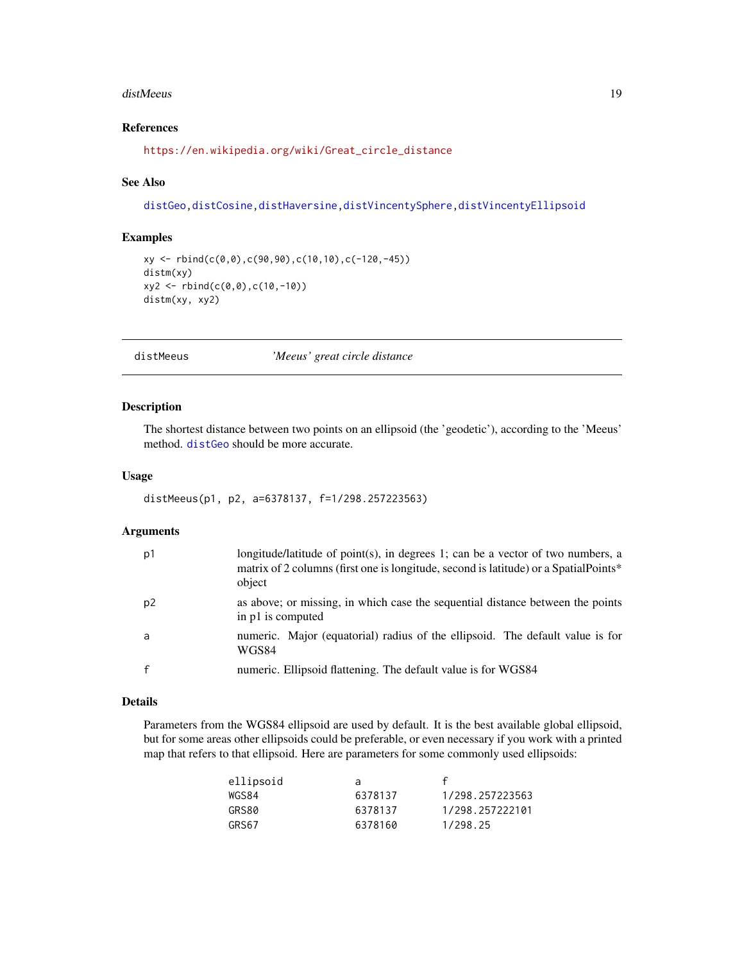#### <span id="page-18-0"></span>distMeeus 19

# References

[https://en.wikipedia.org/wiki/Great\\_circle\\_distance](https://en.wikipedia.org/wiki/Great_circle_distance)

#### See Also

[distGeo](#page-15-1)[,distCosine](#page-14-1)[,distHaversine,](#page-16-1)[distVincentySphere](#page-22-1)[,distVincentyEllipsoid](#page-20-1)

#### Examples

```
xy <- rbind(c(0,0),c(90,90),c(10,10),c(-120,-45))
distm(xy)
xy2 <- rbind(c(0,0),c(10,-10))
distm(xy, xy2)
```
<span id="page-18-1"></span>

distMeeus *'Meeus' great circle distance*

#### Description

The shortest distance between two points on an ellipsoid (the 'geodetic'), according to the 'Meeus' method. [distGeo](#page-15-1) should be more accurate.

## Usage

```
distMeeus(p1, p2, a=6378137, f=1/298.257223563)
```
#### Arguments

| p1             | longitude/latitude of point(s), in degrees 1; can be a vector of two numbers, a<br>matrix of 2 columns (first one is longitude, second is latitude) or a SpatialPoints*<br>object |
|----------------|-----------------------------------------------------------------------------------------------------------------------------------------------------------------------------------|
| p <sub>2</sub> | as above; or missing, in which case the sequential distance between the points<br>in p1 is computed                                                                               |
| a              | numeric. Major (equatorial) radius of the ellipsoid. The default value is for<br>WGS84                                                                                            |
|                | numeric. Ellipsoid flattening. The default value is for WGS84                                                                                                                     |

## Details

Parameters from the WGS84 ellipsoid are used by default. It is the best available global ellipsoid, but for some areas other ellipsoids could be preferable, or even necessary if you work with a printed map that refers to that ellipsoid. Here are parameters for some commonly used ellipsoids:

| ellipsoid | a       |                 |
|-----------|---------|-----------------|
| WGS84     | 6378137 | 1/298.257223563 |
| GRS80     | 6378137 | 1/298.257222101 |
| GRS67     | 6378160 | 1/298.25        |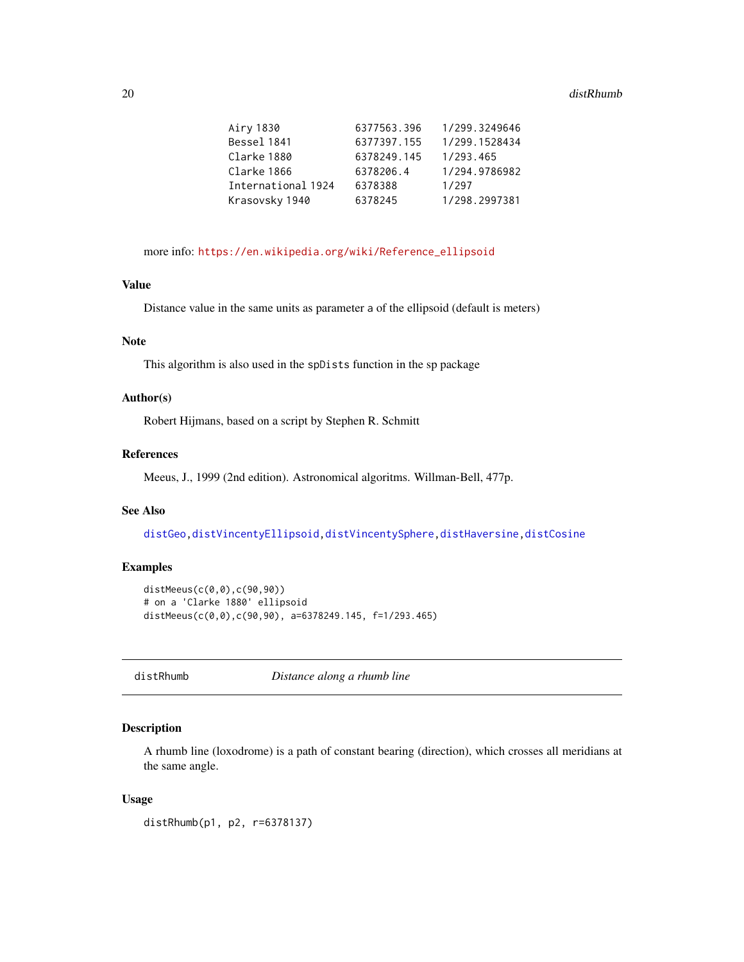#### <span id="page-19-0"></span>20 distRhumb

| Airy 1830          | 6377563.396 | 1/299.3249646 |
|--------------------|-------------|---------------|
| Bessel 1841        | 6377397.155 | 1/299.1528434 |
| Clarke 1880        | 6378249.145 | 1/293.465     |
| Clarke 1866        | 6378206.4   | 1/294.9786982 |
| International 1924 | 6378388     | 1/297         |
| Krasovsky 1940     | 6378245     | 1/298.2997381 |
|                    |             |               |

more info: [https://en.wikipedia.org/wiki/Reference\\_ellipsoid](https://en.wikipedia.org/wiki/Reference_ellipsoid)

#### Value

Distance value in the same units as parameter a of the ellipsoid (default is meters)

## Note

This algorithm is also used in the spDists function in the sp package

#### Author(s)

Robert Hijmans, based on a script by Stephen R. Schmitt

## References

Meeus, J., 1999 (2nd edition). Astronomical algoritms. Willman-Bell, 477p.

# See Also

[distGeo](#page-15-1)[,distVincentyEllipsoid,](#page-20-1)[distVincentySphere](#page-22-1)[,distHaversine](#page-16-1)[,distCosine](#page-14-1)

## Examples

```
distMeeus(c(0,0),c(90,90))
# on a 'Clarke 1880' ellipsoid
distMeeus(c(0,0),c(90,90), a=6378249.145, f=1/293.465)
```
<span id="page-19-1"></span>distRhumb *Distance along a rhumb line*

#### Description

A rhumb line (loxodrome) is a path of constant bearing (direction), which crosses all meridians at the same angle.

#### Usage

distRhumb(p1, p2, r=6378137)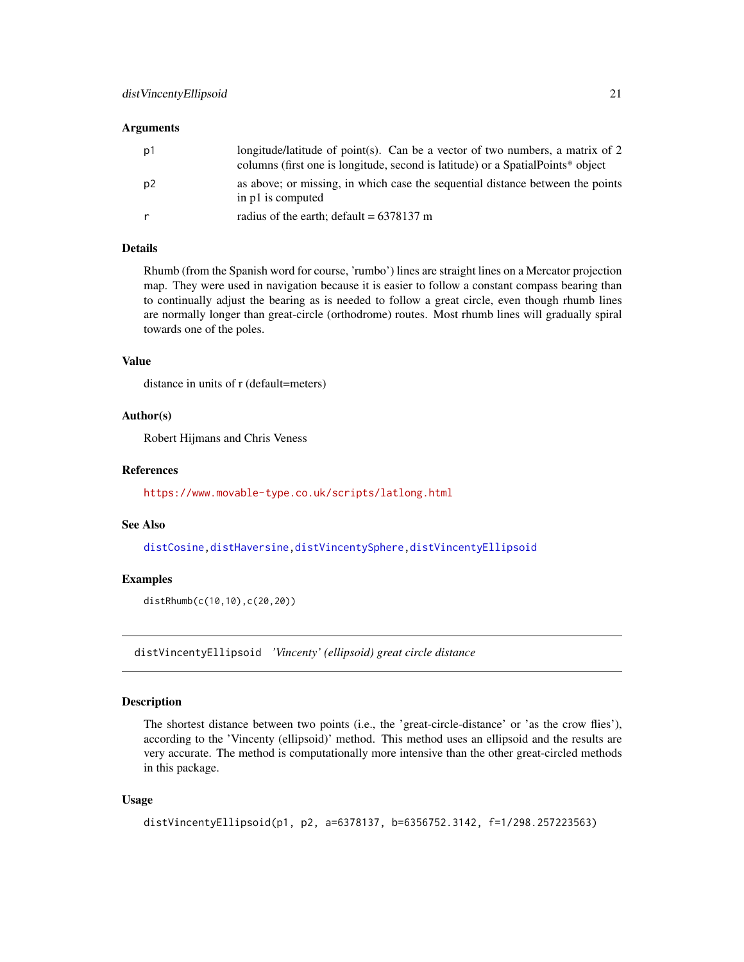#### <span id="page-20-0"></span>**Arguments**

| p1 | longitude/latitude of point(s). Can be a vector of two numbers, a matrix of 2<br>columns (first one is longitude, second is latitude) or a Spatial Points* object |
|----|-------------------------------------------------------------------------------------------------------------------------------------------------------------------|
| p2 | as above; or missing, in which case the sequential distance between the points<br>in p1 is computed                                                               |
|    | radius of the earth; default = $6378137$ m                                                                                                                        |

# Details

Rhumb (from the Spanish word for course, 'rumbo') lines are straight lines on a Mercator projection map. They were used in navigation because it is easier to follow a constant compass bearing than to continually adjust the bearing as is needed to follow a great circle, even though rhumb lines are normally longer than great-circle (orthodrome) routes. Most rhumb lines will gradually spiral towards one of the poles.

#### Value

distance in units of r (default=meters)

#### Author(s)

Robert Hijmans and Chris Veness

#### References

<https://www.movable-type.co.uk/scripts/latlong.html>

#### See Also

[distCosine](#page-14-1)[,distHaversine,](#page-16-1)[distVincentySphere,](#page-22-1)[distVincentyEllipsoid](#page-20-1)

#### Examples

distRhumb(c(10,10),c(20,20))

<span id="page-20-1"></span>distVincentyEllipsoid *'Vincenty' (ellipsoid) great circle distance*

# Description

The shortest distance between two points (i.e., the 'great-circle-distance' or 'as the crow flies'), according to the 'Vincenty (ellipsoid)' method. This method uses an ellipsoid and the results are very accurate. The method is computationally more intensive than the other great-circled methods in this package.

#### Usage

```
distVincentyEllipsoid(p1, p2, a=6378137, b=6356752.3142, f=1/298.257223563)
```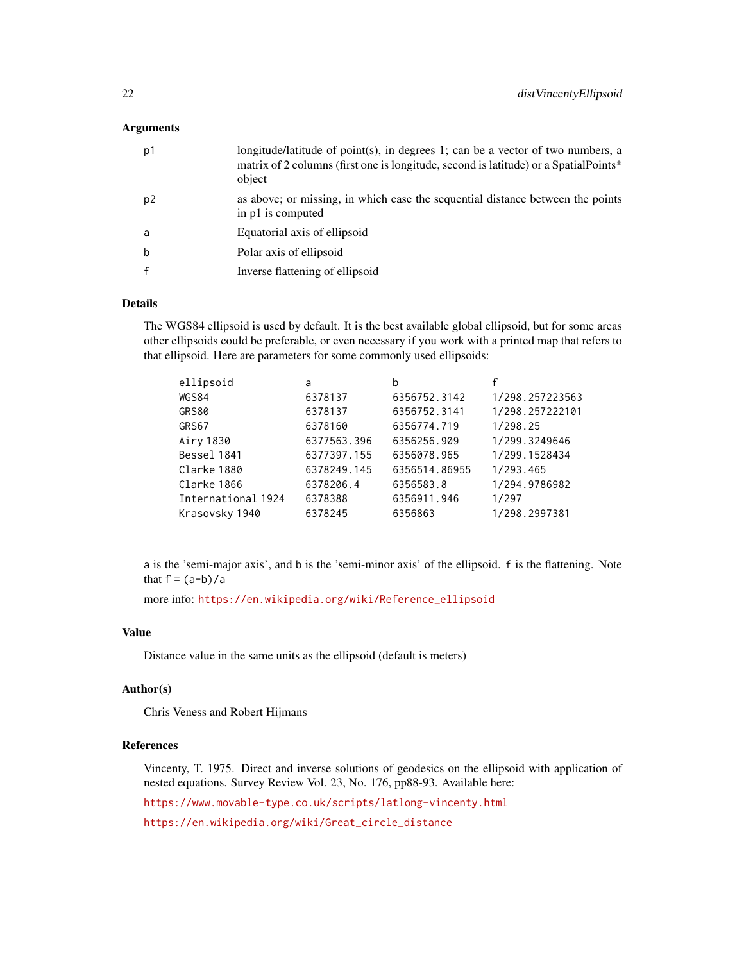#### **Arguments**

| p1 | longitude/latitude of point(s), in degrees 1; can be a vector of two numbers, a<br>matrix of 2 columns (first one is longitude, second is latitude) or a SpatialPoints*<br>object |
|----|-----------------------------------------------------------------------------------------------------------------------------------------------------------------------------------|
| p2 | as above; or missing, in which case the sequential distance between the points<br>in p1 is computed                                                                               |
| a  | Equatorial axis of ellipsoid                                                                                                                                                      |
| b  | Polar axis of ellipsoid                                                                                                                                                           |
|    | Inverse flattening of ellipsoid                                                                                                                                                   |

#### Details

The WGS84 ellipsoid is used by default. It is the best available global ellipsoid, but for some areas other ellipsoids could be preferable, or even necessary if you work with a printed map that refers to that ellipsoid. Here are parameters for some commonly used ellipsoids:

| ellipsoid          | a           | b             |                 |
|--------------------|-------------|---------------|-----------------|
| WGS84              | 6378137     | 6356752.3142  | 1/298.257223563 |
| GRS80              | 6378137     | 6356752.3141  | 1/298.257222101 |
| GRS67              | 6378160     | 6356774.719   | 1/298.25        |
| Airy 1830          | 6377563.396 | 6356256.909   | 1/299.3249646   |
| Bessel 1841        | 6377397.155 | 6356078.965   | 1/299.1528434   |
| Clarke 1880        | 6378249.145 | 6356514.86955 | 1/293.465       |
| Clarke 1866        | 6378206.4   | 6356583.8     | 1/294.9786982   |
| International 1924 | 6378388     | 6356911.946   | 1/297           |
| Krasovsky 1940     | 6378245     | 6356863       | 1/298.2997381   |

a is the 'semi-major axis', and b is the 'semi-minor axis' of the ellipsoid. f is the flattening. Note that  $f = (a-b)/a$ 

more info: [https://en.wikipedia.org/wiki/Reference\\_ellipsoid](https://en.wikipedia.org/wiki/Reference_ellipsoid)

#### Value

Distance value in the same units as the ellipsoid (default is meters)

#### Author(s)

Chris Veness and Robert Hijmans

## References

Vincenty, T. 1975. Direct and inverse solutions of geodesics on the ellipsoid with application of nested equations. Survey Review Vol. 23, No. 176, pp88-93. Available here:

<https://www.movable-type.co.uk/scripts/latlong-vincenty.html>

[https://en.wikipedia.org/wiki/Great\\_circle\\_distance](https://en.wikipedia.org/wiki/Great_circle_distance)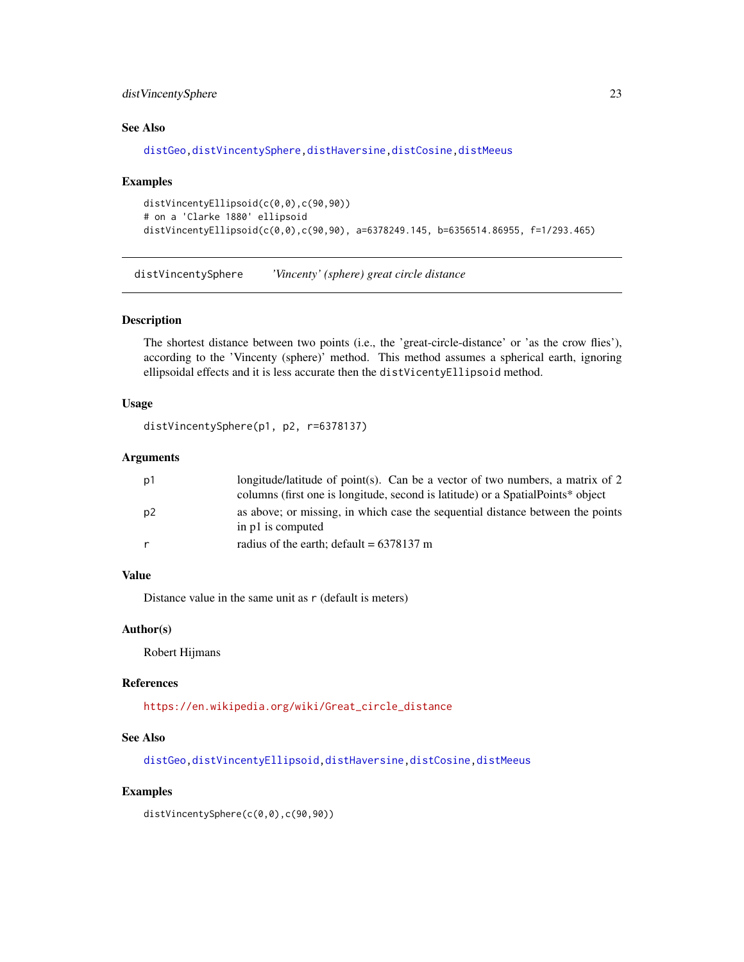# <span id="page-22-0"></span>distVincentySphere 23

# See Also

[distGeo](#page-15-1)[,distVincentySphere,](#page-22-1)[distHaversine,](#page-16-1)[distCosine](#page-14-1)[,distMeeus](#page-18-1)

#### Examples

```
distVincentyEllipsoid(c(0,0),c(90,90))
# on a 'Clarke 1880' ellipsoid
distVincentyEllipsoid(c(0,0),c(90,90), a=6378249.145, b=6356514.86955, f=1/293.465)
```
<span id="page-22-1"></span>distVincentySphere *'Vincenty' (sphere) great circle distance*

# Description

The shortest distance between two points (i.e., the 'great-circle-distance' or 'as the crow flies'), according to the 'Vincenty (sphere)' method. This method assumes a spherical earth, ignoring ellipsoidal effects and it is less accurate then the distVicentyEllipsoid method.

#### Usage

distVincentySphere(p1, p2, r=6378137)

#### **Arguments**

| p1             | longitude/latitude of point(s). Can be a vector of two numbers, a matrix of 2                       |
|----------------|-----------------------------------------------------------------------------------------------------|
|                | columns (first one is longitude, second is latitude) or a Spatial Points* object                    |
| p <sub>2</sub> | as above; or missing, in which case the sequential distance between the points<br>in p1 is computed |
|                | radius of the earth; default = $6378137$ m                                                          |

# Value

Distance value in the same unit as  $r$  (default is meters)

## Author(s)

Robert Hijmans

#### References

[https://en.wikipedia.org/wiki/Great\\_circle\\_distance](https://en.wikipedia.org/wiki/Great_circle_distance)

#### See Also

[distGeo](#page-15-1)[,distVincentyEllipsoid,](#page-20-1)[distHaversine,](#page-16-1)[distCosine](#page-14-1)[,distMeeus](#page-18-1)

#### Examples

distVincentySphere(c(0,0),c(90,90))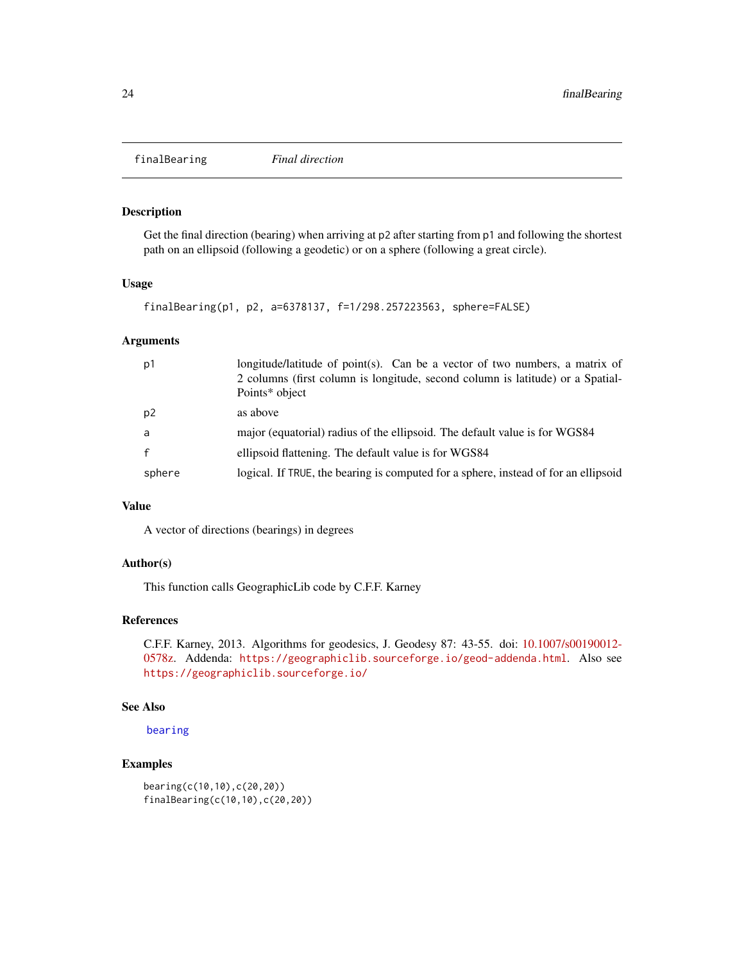<span id="page-23-1"></span><span id="page-23-0"></span>finalBearing *Final direction*

#### Description

Get the final direction (bearing) when arriving at p2 after starting from p1 and following the shortest path on an ellipsoid (following a geodetic) or on a sphere (following a great circle).

#### Usage

```
finalBearing(p1, p2, a=6378137, f=1/298.257223563, sphere=FALSE)
```
# Arguments

| longitude/latitude of point(s). Can be a vector of two numbers, a matrix of<br>p1<br>2 columns (first column is longitude, second column is latitude) or a Spatial-<br>Points* object |  |
|---------------------------------------------------------------------------------------------------------------------------------------------------------------------------------------|--|
| p2<br>as above                                                                                                                                                                        |  |
| major (equatorial) radius of the ellipsoid. The default value is for WGS84<br>a                                                                                                       |  |
| ellipsoid flattening. The default value is for WGS84                                                                                                                                  |  |
| logical. If TRUE, the bearing is computed for a sphere, instead of for an ellipsoid<br>sphere                                                                                         |  |

#### Value

A vector of directions (bearings) in degrees

#### Author(s)

This function calls GeographicLib code by C.F.F. Karney

# References

C.F.F. Karney, 2013. Algorithms for geodesics, J. Geodesy 87: 43-55. doi: [10.1007/s00190012-](https://doi.org/10.1007/s00190-012-0578-z) [0578z.](https://doi.org/10.1007/s00190-012-0578-z) Addenda: <https://geographiclib.sourceforge.io/geod-addenda.html>. Also see <https://geographiclib.sourceforge.io/>

#### See Also

```
bearing
```

```
bearing(c(10,10),c(20,20))
finalBearing(c(10,10),c(20,20))
```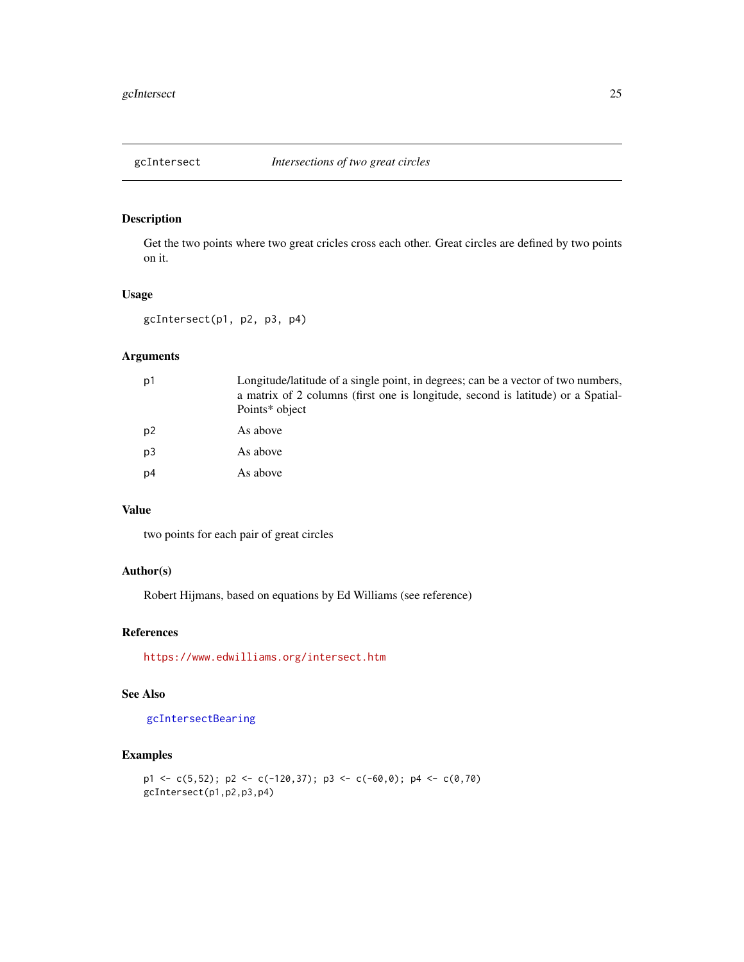<span id="page-24-1"></span><span id="page-24-0"></span>

Get the two points where two great cricles cross each other. Great circles are defined by two points on it.

# Usage

gcIntersect(p1, p2, p3, p4)

# Arguments

| p1 | Longitude/latitude of a single point, in degrees; can be a vector of two numbers,<br>a matrix of 2 columns (first one is longitude, second is latitude) or a Spatial-<br>Points* object |
|----|-----------------------------------------------------------------------------------------------------------------------------------------------------------------------------------------|
| p2 | As above                                                                                                                                                                                |
| p3 | As above                                                                                                                                                                                |
| p4 | As above                                                                                                                                                                                |

# Value

two points for each pair of great circles

#### Author(s)

Robert Hijmans, based on equations by Ed Williams (see reference)

#### References

<https://www.edwilliams.org/intersect.htm>

#### See Also

[gcIntersectBearing](#page-25-1)

```
p1 \leftarrow c(5,52); p2 \leftarrow c(-120,37); p3 \leftarrow c(-60,0); p4 \leftarrow c(0,70)gcIntersect(p1,p2,p3,p4)
```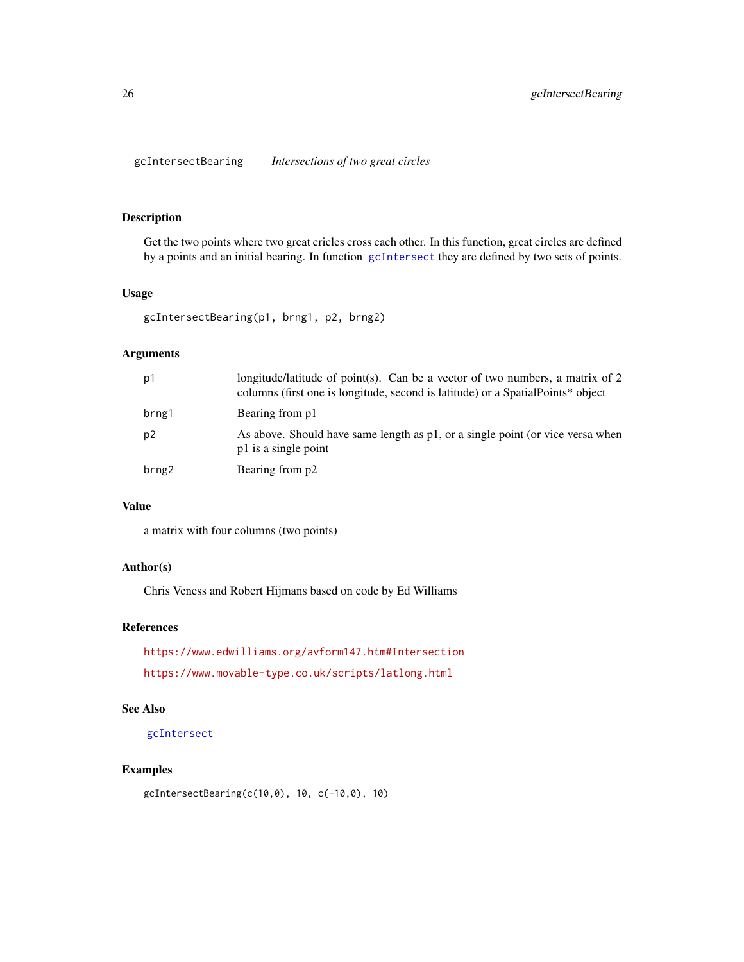<span id="page-25-1"></span><span id="page-25-0"></span>gcIntersectBearing *Intersections of two great circles*

# Description

Get the two points where two great cricles cross each other. In this function, great circles are defined by a points and an initial bearing. In function [gcIntersect](#page-24-1) they are defined by two sets of points.

### Usage

gcIntersectBearing(p1, brng1, p2, brng2)

# Arguments

| p1             | longitude/latitude of point(s). Can be a vector of two numbers, a matrix of 2<br>columns (first one is longitude, second is latitude) or a Spatial Points* object |
|----------------|-------------------------------------------------------------------------------------------------------------------------------------------------------------------|
| brng1          | Bearing from p1                                                                                                                                                   |
| p <sub>2</sub> | As above. Should have same length as p1, or a single point (or vice versa when<br>p1 is a single point                                                            |
| brng2          | Bearing from p2                                                                                                                                                   |

#### Value

a matrix with four columns (two points)

# Author(s)

Chris Veness and Robert Hijmans based on code by Ed Williams

## References

<https://www.edwilliams.org/avform147.htm#Intersection> <https://www.movable-type.co.uk/scripts/latlong.html>

# See Also

[gcIntersect](#page-24-1)

# Examples

gcIntersectBearing(c(10,0), 10, c(-10,0), 10)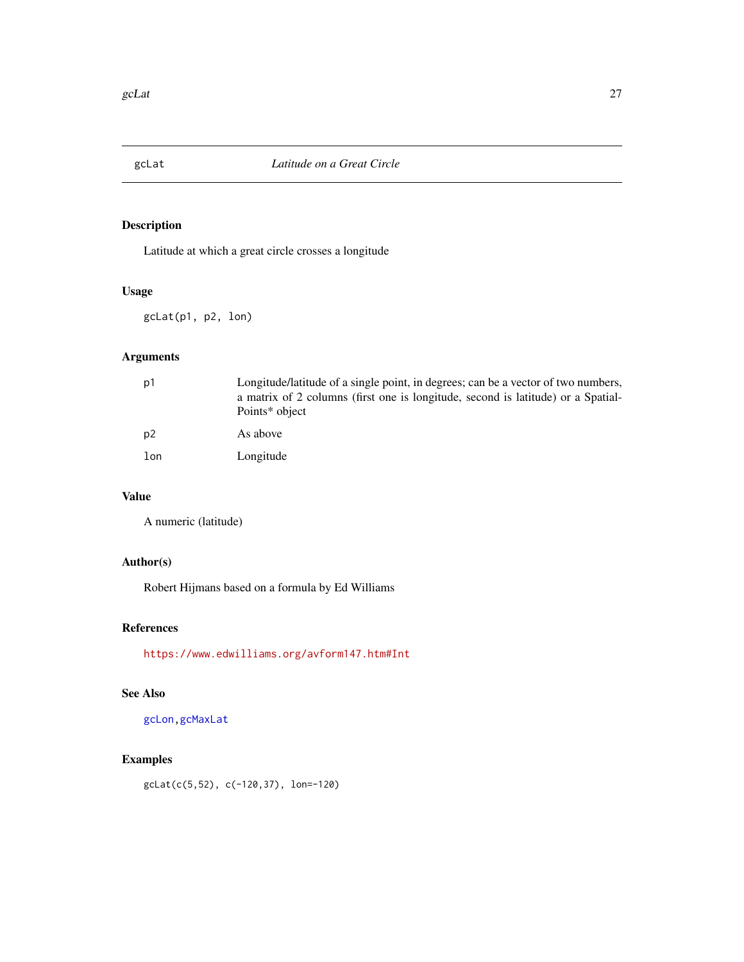<span id="page-26-1"></span><span id="page-26-0"></span>

Latitude at which a great circle crosses a longitude

#### Usage

gcLat(p1, p2, lon)

# Arguments

| p1  | Longitude/latitude of a single point, in degrees; can be a vector of two numbers,<br>a matrix of 2 columns (first one is longitude, second is latitude) or a Spatial-<br>Points* object |
|-----|-----------------------------------------------------------------------------------------------------------------------------------------------------------------------------------------|
| p2  | As above                                                                                                                                                                                |
| lon | Longitude                                                                                                                                                                               |

# Value

A numeric (latitude)

# Author(s)

Robert Hijmans based on a formula by Ed Williams

# References

<https://www.edwilliams.org/avform147.htm#Int>

# See Also

[gcLon](#page-27-1)[,gcMaxLat](#page-28-1)

# Examples

gcLat(c(5,52), c(-120,37), lon=-120)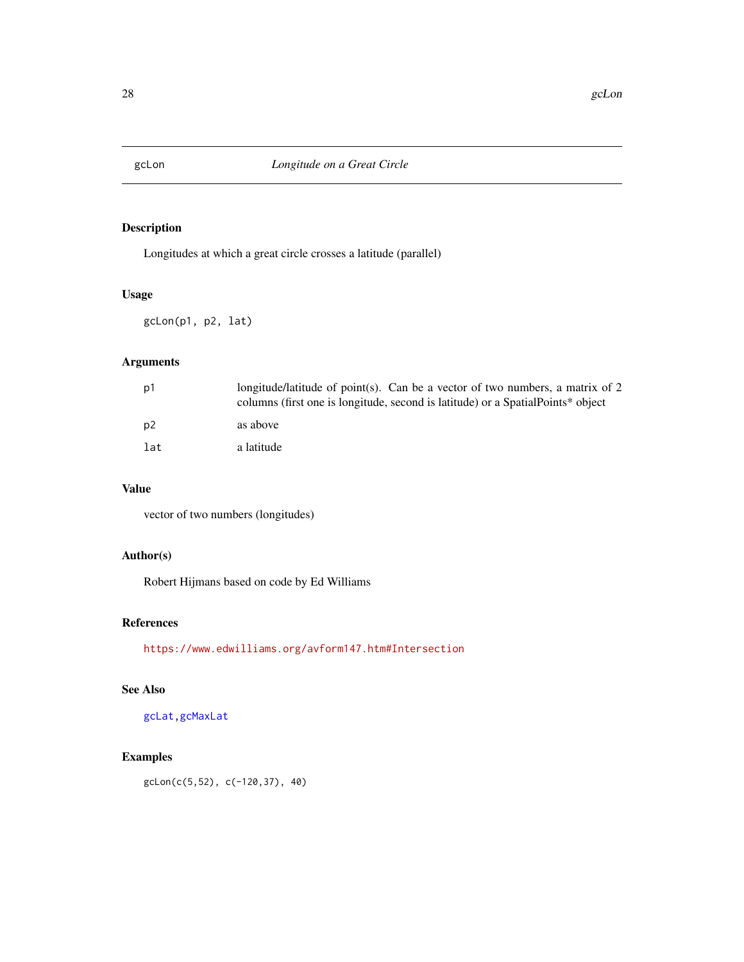<span id="page-27-1"></span><span id="page-27-0"></span>

Longitudes at which a great circle crosses a latitude (parallel)

# Usage

gcLon(p1, p2, lat)

# Arguments

| p1             | longitude/latitude of point(s). Can be a vector of two numbers, a matrix of 2<br>columns (first one is longitude, second is latitude) or a Spatial Points* object |
|----------------|-------------------------------------------------------------------------------------------------------------------------------------------------------------------|
| p <sub>2</sub> | as above                                                                                                                                                          |
| lat            | a latitude                                                                                                                                                        |

# Value

vector of two numbers (longitudes)

# Author(s)

Robert Hijmans based on code by Ed Williams

# References

<https://www.edwilliams.org/avform147.htm#Intersection>

# See Also

[gcLat](#page-26-1)[,gcMaxLat](#page-28-1)

# Examples

gcLon(c(5,52), c(-120,37), 40)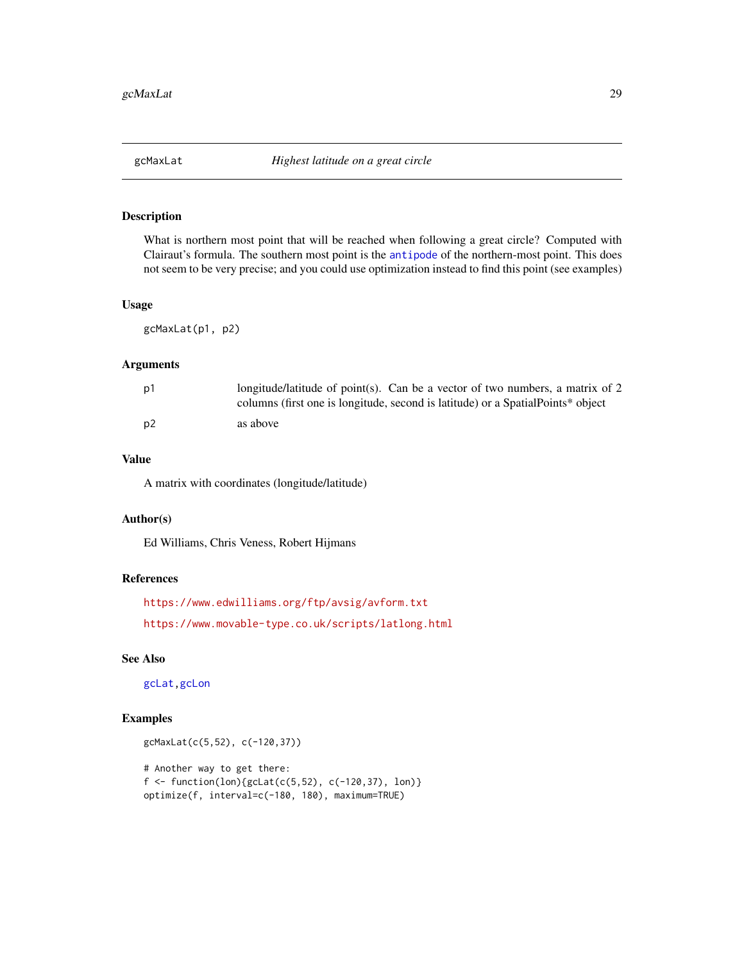<span id="page-28-1"></span><span id="page-28-0"></span>

What is northern most point that will be reached when following a great circle? Computed with Clairaut's formula. The southern most point is the [antipode](#page-4-1) of the northern-most point. This does not seem to be very precise; and you could use optimization instead to find this point (see examples)

#### Usage

gcMaxLat(p1, p2)

#### Arguments

| p1 | longitude/latitude of point(s). Can be a vector of two numbers, a matrix of 2<br>columns (first one is longitude, second is latitude) or a Spatial Points* object |
|----|-------------------------------------------------------------------------------------------------------------------------------------------------------------------|
| p2 | as above                                                                                                                                                          |

# Value

A matrix with coordinates (longitude/latitude)

#### Author(s)

Ed Williams, Chris Veness, Robert Hijmans

#### References

```
https://www.edwilliams.org/ftp/avsig/avform.txt
https://www.movable-type.co.uk/scripts/latlong.html
```
# See Also

[gcLat](#page-26-1)[,gcLon](#page-27-1)

```
gcMaxLat(c(5,52), c(-120,37))
# Another way to get there:
f \leftarrow function(long)(gclat(c(5, 52), c(-120, 37), lon)optimize(f, interval=c(-180, 180), maximum=TRUE)
```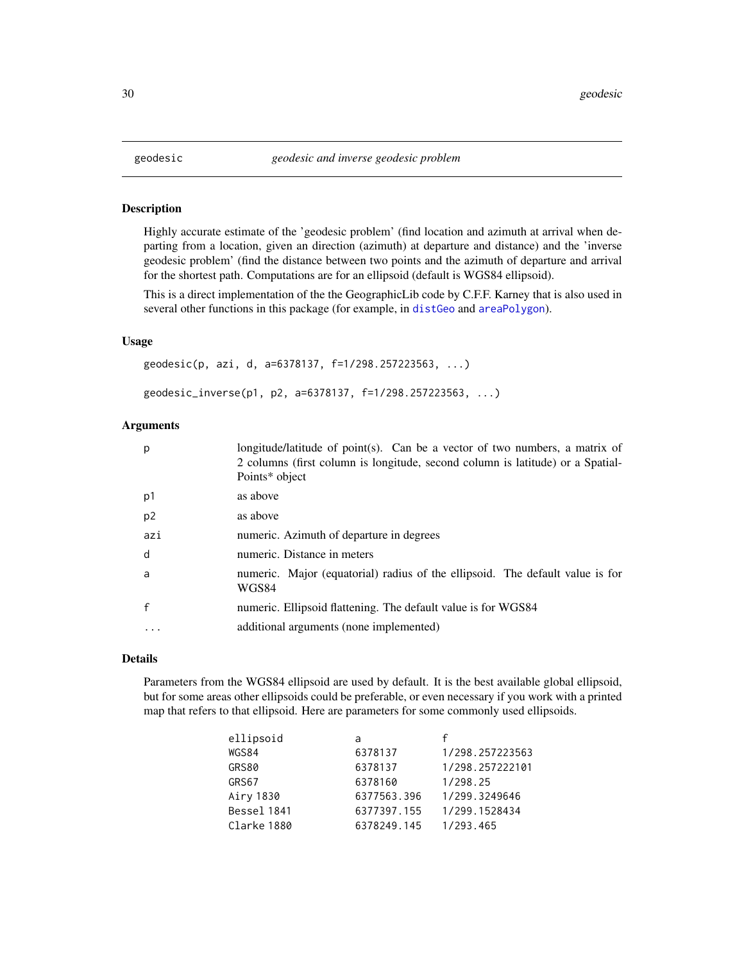Highly accurate estimate of the 'geodesic problem' (find location and azimuth at arrival when departing from a location, given an direction (azimuth) at departure and distance) and the 'inverse geodesic problem' (find the distance between two points and the azimuth of departure and arrival for the shortest path. Computations are for an ellipsoid (default is WGS84 ellipsoid).

This is a direct implementation of the the GeographicLib code by C.F.F. Karney that is also used in several other functions in this package (for example, in [distGeo](#page-15-1) and [areaPolygon](#page-5-1)).

# Usage

```
geodesic(p, azi, d, a=6378137, f=1/298.257223563, ...)
geodesic_inverse(p1, p2, a=6378137, f=1/298.257223563, ...)
```
#### Arguments

| p              | longitude/latitude of point(s). Can be a vector of two numbers, a matrix of<br>2 columns (first column is longitude, second column is latitude) or a Spatial-<br>Points* object |
|----------------|---------------------------------------------------------------------------------------------------------------------------------------------------------------------------------|
| p1             | as above                                                                                                                                                                        |
| p <sub>2</sub> | as above                                                                                                                                                                        |
| azi            | numeric. Azimuth of departure in degrees                                                                                                                                        |
| d              | numeric. Distance in meters                                                                                                                                                     |
| a              | numeric. Major (equatorial) radius of the ellipsoid. The default value is for<br>WGS84                                                                                          |
| $\mathsf{f}$   | numeric. Ellipsoid flattening. The default value is for WGS84                                                                                                                   |
| $\cdots$       | additional arguments (none implemented)                                                                                                                                         |

#### Details

Parameters from the WGS84 ellipsoid are used by default. It is the best available global ellipsoid, but for some areas other ellipsoids could be preferable, or even necessary if you work with a printed map that refers to that ellipsoid. Here are parameters for some commonly used ellipsoids.

| ellipsoid   | a           | f               |
|-------------|-------------|-----------------|
| WGS84       | 6378137     | 1/298.257223563 |
| GRS80       | 6378137     | 1/298.257222101 |
| GRS67       | 6378160     | 1/298.25        |
| Airy 1830   | 6377563.396 | 1/299.3249646   |
| Bessel 1841 | 6377397.155 | 1/299.1528434   |
| Clarke 1880 | 6378249.145 | 1/293.465       |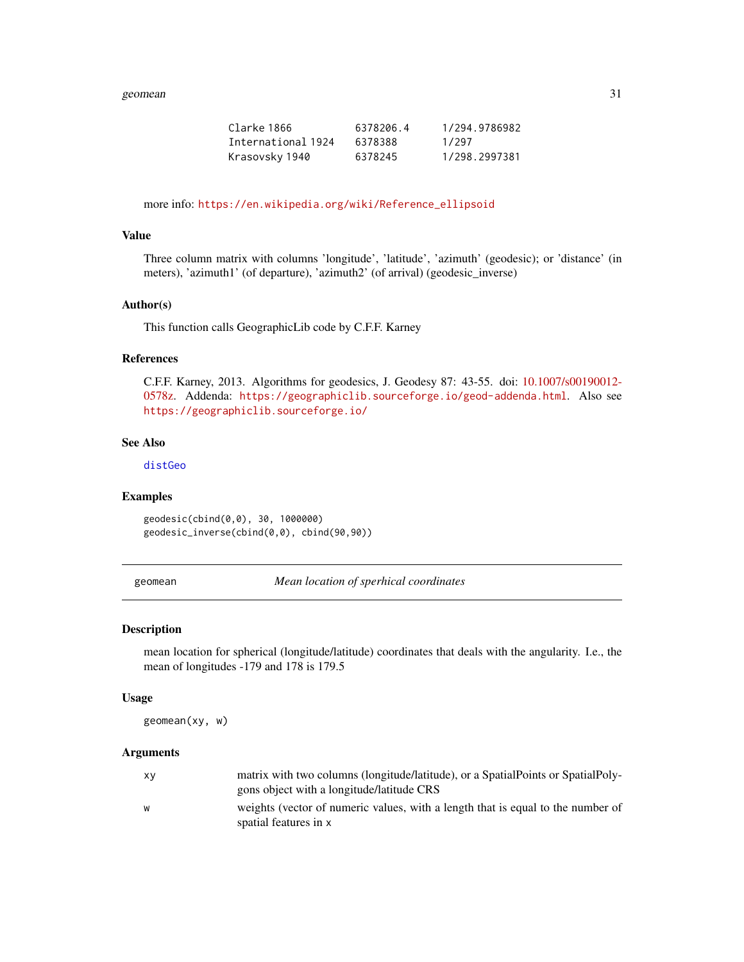#### <span id="page-30-0"></span>geomean 31 and 32 and 32 and 33 and 33 and 33 and 33 and 33 and 33 and 33 and 33 and 34 and 34 and 34 and 34 and 34 and 35 and 35 and 35 and 35 and 35 and 35 and 35 and 35 and 35 and 35 and 35 and 35 and 35 and 35 and 35 a

| Clarke 1866        | 6378206.4 | 1/294.9786982 |
|--------------------|-----------|---------------|
| International 1924 | 6378388   | 1/297         |
| Krasovsky 1940     | 6378245   | 1/298.2997381 |

more info: [https://en.wikipedia.org/wiki/Reference\\_ellipsoid](https://en.wikipedia.org/wiki/Reference_ellipsoid)

# Value

Three column matrix with columns 'longitude', 'latitude', 'azimuth' (geodesic); or 'distance' (in meters), 'azimuth1' (of departure), 'azimuth2' (of arrival) (geodesic\_inverse)

#### Author(s)

This function calls GeographicLib code by C.F.F. Karney

#### References

C.F.F. Karney, 2013. Algorithms for geodesics, J. Geodesy 87: 43-55. doi: [10.1007/s00190012-](https://doi.org/10.1007/s00190-012-0578-z) [0578z.](https://doi.org/10.1007/s00190-012-0578-z) Addenda: <https://geographiclib.sourceforge.io/geod-addenda.html>. Also see <https://geographiclib.sourceforge.io/>

#### See Also

[distGeo](#page-15-1)

#### Examples

geodesic(cbind(0,0), 30, 1000000) geodesic\_inverse(cbind(0,0), cbind(90,90))

geomean *Mean location of sperhical coordinates*

#### Description

mean location for spherical (longitude/latitude) coordinates that deals with the angularity. I.e., the mean of longitudes -179 and 178 is 179.5

#### Usage

geomean(xy, w)

#### Arguments

| XV | matrix with two columns (longitude/latitude), or a SpatialPoints or SpatialPoly- |
|----|----------------------------------------------------------------------------------|
|    | gons object with a longitude/latitude CRS                                        |
| W  | weights (vector of numeric values, with a length that is equal to the number of  |
|    | spatial features in x                                                            |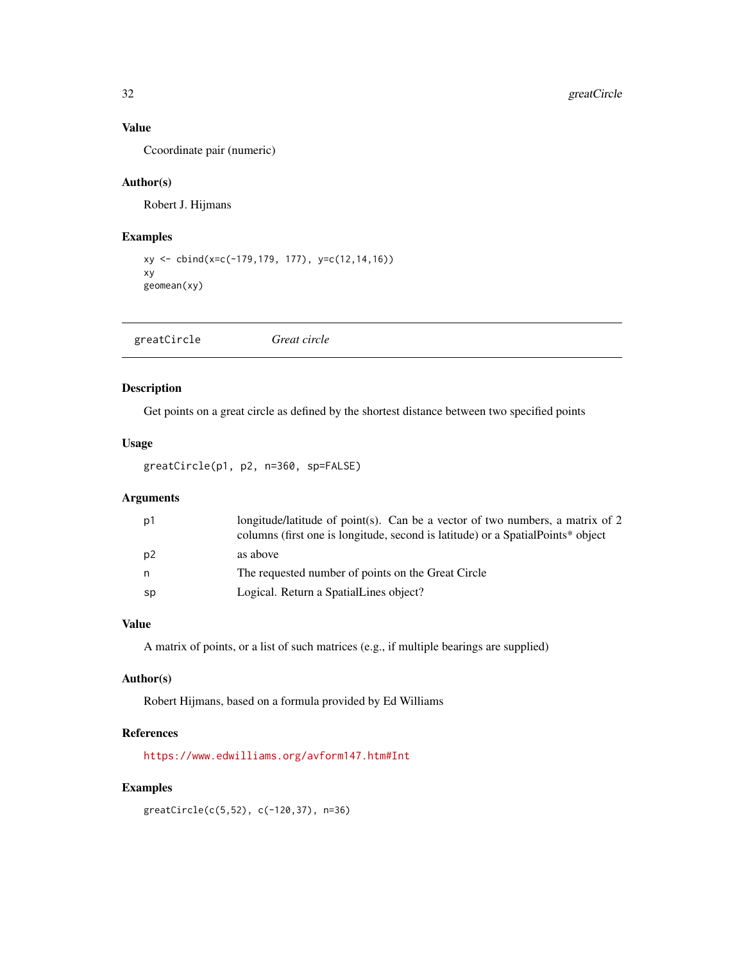# Value

Ccoordinate pair (numeric)

# Author(s)

Robert J. Hijmans

# Examples

```
xy <- cbind(x=c(-179,179, 177), y=c(12,14,16))
xy
geomean(xy)
```

| greatCircle | Great circle |  |  |
|-------------|--------------|--|--|
|-------------|--------------|--|--|

# Description

Get points on a great circle as defined by the shortest distance between two specified points

# Usage

```
greatCircle(p1, p2, n=360, sp=FALSE)
```
# Arguments

| p1 | longitude/latitude of point(s). Can be a vector of two numbers, a matrix of 2<br>columns (first one is longitude, second is latitude) or a SpatialPoints* object |
|----|------------------------------------------------------------------------------------------------------------------------------------------------------------------|
| p2 | as above                                                                                                                                                         |
| n  | The requested number of points on the Great Circle                                                                                                               |
| sp | Logical. Return a SpatialLines object?                                                                                                                           |

# Value

A matrix of points, or a list of such matrices (e.g., if multiple bearings are supplied)

# Author(s)

Robert Hijmans, based on a formula provided by Ed Williams

# References

<https://www.edwilliams.org/avform147.htm#Int>

# Examples

greatCircle(c(5,52), c(-120,37), n=36)

<span id="page-31-0"></span>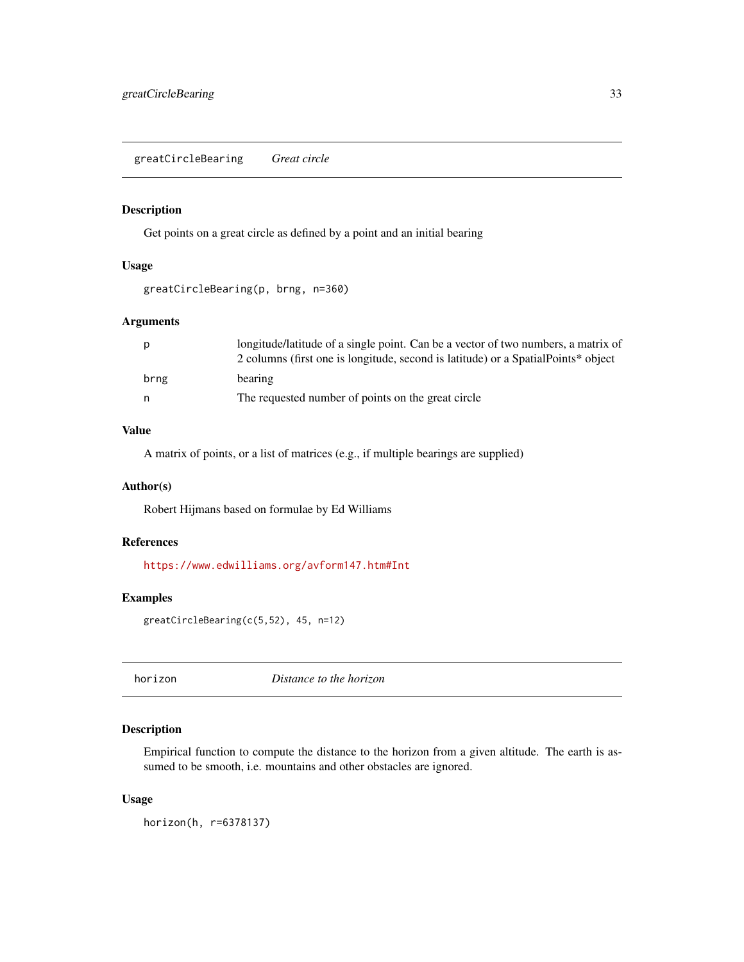<span id="page-32-0"></span>greatCircleBearing *Great circle*

# Description

Get points on a great circle as defined by a point and an initial bearing

#### Usage

```
greatCircleBearing(p, brng, n=360)
```
# Arguments

| longitude/latitude of a single point. Can be a vector of two numbers, a matrix of<br>2 columns (first one is longitude, second is latitude) or a SpatialPoints* object |
|------------------------------------------------------------------------------------------------------------------------------------------------------------------------|
| bearing                                                                                                                                                                |
| The requested number of points on the great circle                                                                                                                     |
|                                                                                                                                                                        |

# Value

A matrix of points, or a list of matrices (e.g., if multiple bearings are supplied)

#### Author(s)

Robert Hijmans based on formulae by Ed Williams

#### References

<https://www.edwilliams.org/avform147.htm#Int>

# Examples

greatCircleBearing(c(5,52), 45, n=12)

horizon *Distance to the horizon*

## Description

Empirical function to compute the distance to the horizon from a given altitude. The earth is assumed to be smooth, i.e. mountains and other obstacles are ignored.

#### Usage

horizon(h, r=6378137)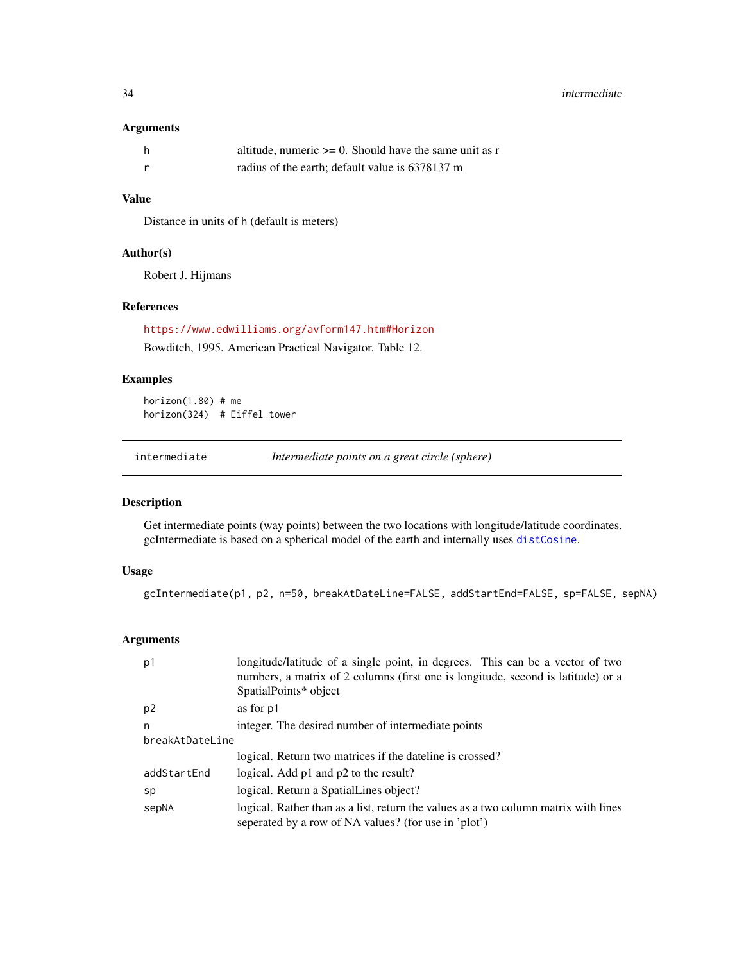# <span id="page-33-0"></span>Arguments

| - h | altitude, numeric $\ge$ = 0. Should have the same unit as r |
|-----|-------------------------------------------------------------|
|     | radius of the earth; default value is 6378137 m             |

# Value

Distance in units of h (default is meters)

# Author(s)

Robert J. Hijmans

## References

<https://www.edwilliams.org/avform147.htm#Horizon>

Bowditch, 1995. American Practical Navigator. Table 12.

#### Examples

horizon(1.80) # me horizon(324) # Eiffel tower

intermediate *Intermediate points on a great circle (sphere)*

#### Description

Get intermediate points (way points) between the two locations with longitude/latitude coordinates. gcIntermediate is based on a spherical model of the earth and internally uses [distCosine](#page-14-1).

#### Usage

gcIntermediate(p1, p2, n=50, breakAtDateLine=FALSE, addStartEnd=FALSE, sp=FALSE, sepNA)

#### Arguments

| p1              | longitude/latitude of a single point, in degrees. This can be a vector of two<br>numbers, a matrix of 2 columns (first one is longitude, second is latitude) or a<br>SpatialPoints* object |  |
|-----------------|--------------------------------------------------------------------------------------------------------------------------------------------------------------------------------------------|--|
| p <sub>2</sub>  | as for p1                                                                                                                                                                                  |  |
| n               | integer. The desired number of intermediate points                                                                                                                                         |  |
| breakAtDateLine |                                                                                                                                                                                            |  |
|                 | logical. Return two matrices if the dateline is crossed?                                                                                                                                   |  |
| addStartEnd     | logical. Add p1 and p2 to the result?                                                                                                                                                      |  |
| sp              | logical. Return a SpatialLines object?                                                                                                                                                     |  |
| sepNA           | logical. Rather than as a list, return the values as a two column matrix with lines<br>seperated by a row of NA values? (for use in 'plot')                                                |  |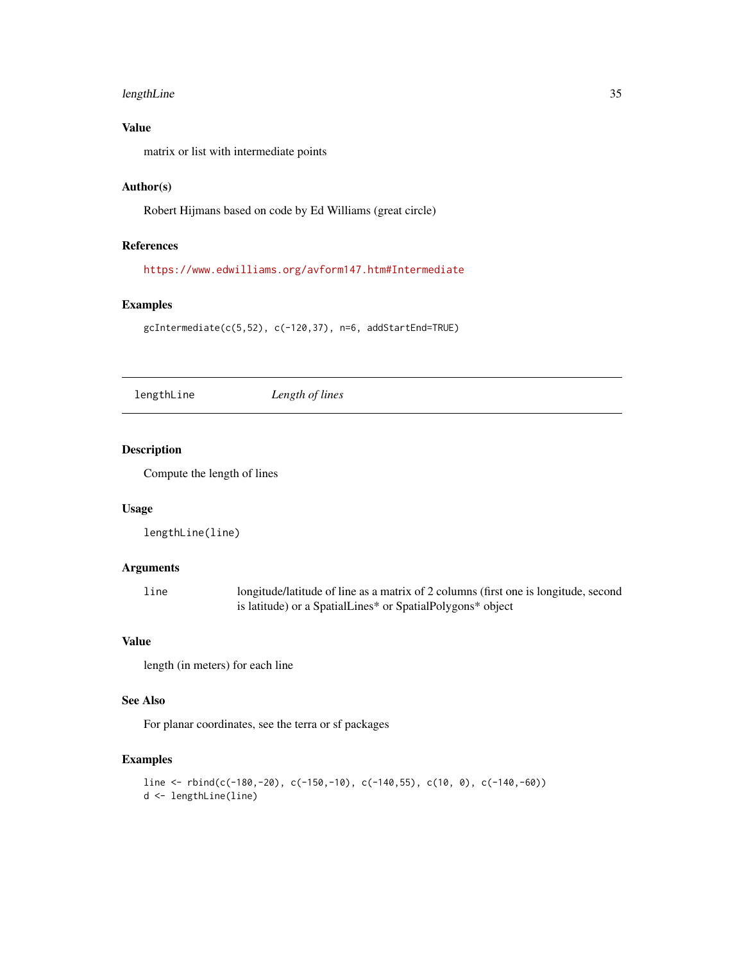# <span id="page-34-0"></span>lengthLine 35

# Value

matrix or list with intermediate points

# Author(s)

Robert Hijmans based on code by Ed Williams (great circle)

#### References

<https://www.edwilliams.org/avform147.htm#Intermediate>

#### Examples

gcIntermediate(c(5,52), c(-120,37), n=6, addStartEnd=TRUE)

lengthLine *Length of lines*

## Description

Compute the length of lines

#### Usage

```
lengthLine(line)
```
## Arguments

line longitude/latitude of line as a matrix of 2 columns (first one is longitude, second is latitude) or a SpatialLines\* or SpatialPolygons\* object

## Value

length (in meters) for each line

## See Also

For planar coordinates, see the terra or sf packages

```
line <- rbind(c(-180,-20), c(-150,-10), c(-140,55), c(10, 0), c(-140,-60))
d <- lengthLine(line)
```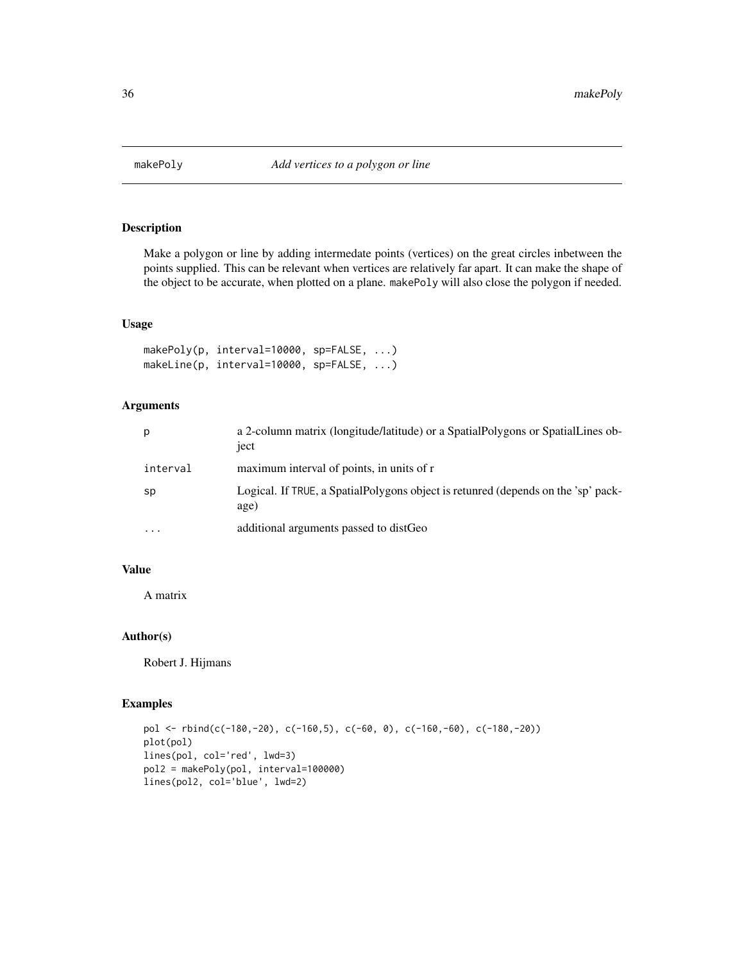<span id="page-35-0"></span>

Make a polygon or line by adding intermedate points (vertices) on the great circles inbetween the points supplied. This can be relevant when vertices are relatively far apart. It can make the shape of the object to be accurate, when plotted on a plane. makePoly will also close the polygon if needed.

#### Usage

```
makePoly(p, interval=10000, sp=FALSE, ...)
makeLine(p, interval=10000, sp=FALSE, ...)
```
# Arguments

| р        | a 2-column matrix (longitude/latitude) or a Spatial Polygons or Spatial Lines ob-<br>ject  |
|----------|--------------------------------------------------------------------------------------------|
| interval | maximum interval of points, in units of r                                                  |
| sp       | Logical. If TRUE, a Spatial Polygons object is retunred (depends on the 'sp' pack-<br>age) |
| $\cdots$ | additional arguments passed to distGeo                                                     |

#### Value

A matrix

# Author(s)

Robert J. Hijmans

```
pol <- rbind(c(-180,-20), c(-160,5), c(-60, 0), c(-160,-60), c(-180,-20))
plot(pol)
lines(pol, col='red', lwd=3)
pol2 = makePoly(pol, interval=100000)
lines(pol2, col='blue', lwd=2)
```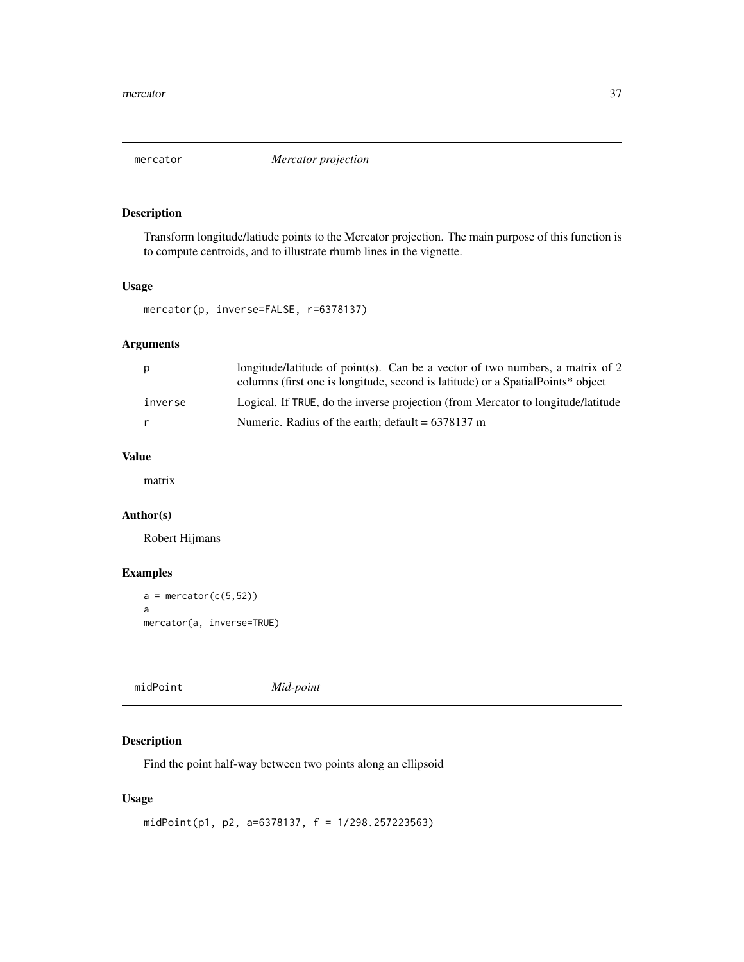<span id="page-36-0"></span>

Transform longitude/latiude points to the Mercator projection. The main purpose of this function is to compute centroids, and to illustrate rhumb lines in the vignette.

#### Usage

```
mercator(p, inverse=FALSE, r=6378137)
```
# Arguments

| p       | longitude/latitude of point(s). Can be a vector of two numbers, a matrix of 2<br>columns (first one is longitude, second is latitude) or a SpatialPoints* object |
|---------|------------------------------------------------------------------------------------------------------------------------------------------------------------------|
| inverse | Logical. If TRUE, do the inverse projection (from Mercator to longitude/latitude                                                                                 |
| r       | Numeric. Radius of the earth; default $= 6378137$ m                                                                                                              |

# Value

matrix

# Author(s)

Robert Hijmans

# Examples

```
a = mercator(c(5,52))
a
mercator(a, inverse=TRUE)
```

| midPoint | Mid-point |
|----------|-----------|

# Description

Find the point half-way between two points along an ellipsoid

#### Usage

```
midPoint(p1, p2, a=6378137, f = 1/298.257223563)
```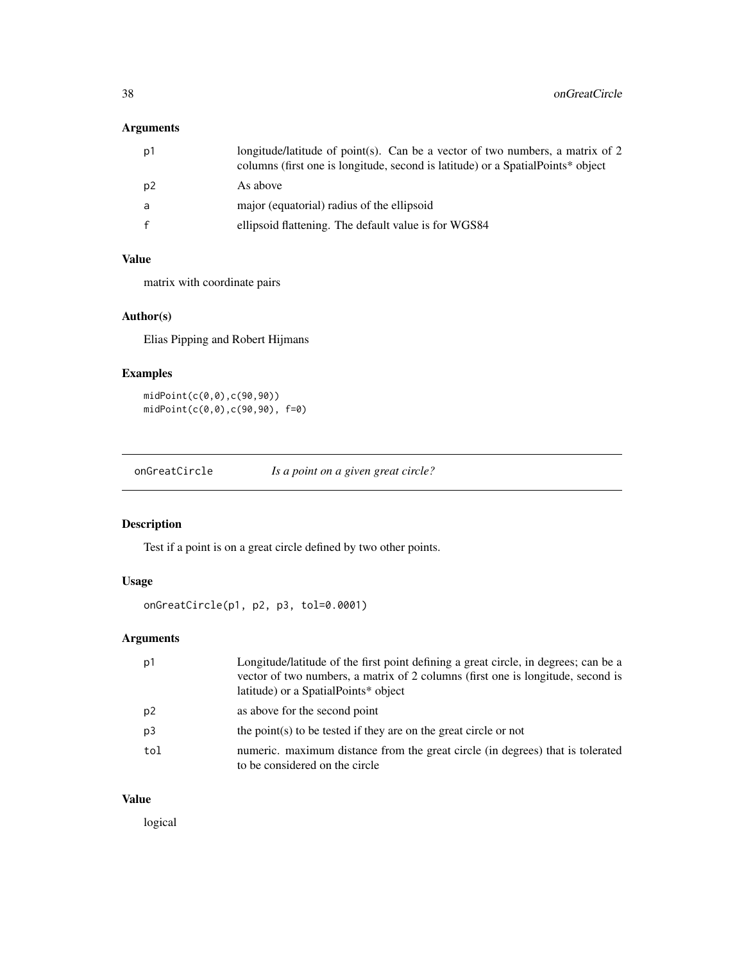# <span id="page-37-0"></span>Arguments

| longitude/latitude of point(s). Can be a vector of two numbers, a matrix of 2<br>columns (first one is longitude, second is latitude) or a SpatialPoints* object |
|------------------------------------------------------------------------------------------------------------------------------------------------------------------|
|                                                                                                                                                                  |
| major (equatorial) radius of the ellipsoid                                                                                                                       |
| ellipsoid flattening. The default value is for WGS84                                                                                                             |
|                                                                                                                                                                  |

#### Value

matrix with coordinate pairs

# Author(s)

Elias Pipping and Robert Hijmans

# Examples

midPoint(c(0,0),c(90,90)) midPoint(c(0,0),c(90,90), f=0)

onGreatCircle *Is a point on a given great circle?*

# Description

Test if a point is on a great circle defined by two other points.

# Usage

onGreatCircle(p1, p2, p3, tol=0.0001)

# Arguments

| p1  | Longitude/latitude of the first point defining a great circle, in degrees; can be a<br>vector of two numbers, a matrix of 2 columns (first one is longitude, second is<br>latitude) or a SpatialPoints* object |
|-----|----------------------------------------------------------------------------------------------------------------------------------------------------------------------------------------------------------------|
|     |                                                                                                                                                                                                                |
| p2  | as above for the second point                                                                                                                                                                                  |
| p3  | the point $(s)$ to be tested if they are on the great circle or not                                                                                                                                            |
| tol | numeric. maximum distance from the great circle (in degrees) that is tolerated<br>to be considered on the circle                                                                                               |

#### Value

logical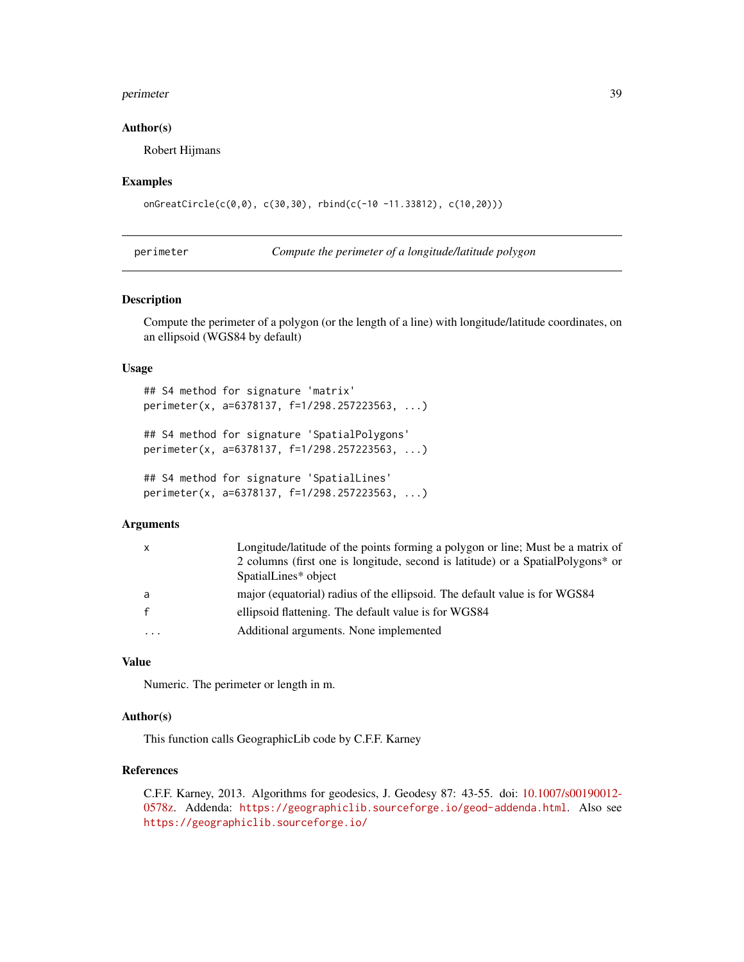#### <span id="page-38-0"></span>perimeter 39

#### Author(s)

Robert Hijmans

#### Examples

```
onGreatCircle(c(0,0), c(30,30), rbind(c(-10 -11.33812), c(10,20)))
```
<span id="page-38-1"></span>

perimeter *Compute the perimeter of a longitude/latitude polygon*

## Description

Compute the perimeter of a polygon (or the length of a line) with longitude/latitude coordinates, on an ellipsoid (WGS84 by default)

#### Usage

```
## S4 method for signature 'matrix'
perimeter(x, a=6378137, f=1/298.257223563, ...)
## S4 method for signature 'SpatialPolygons'
perimeter(x, a=6378137, f=1/298.257223563, ...)
## S4 method for signature 'SpatialLines'
perimeter(x, a=6378137, f=1/298.257223563, ...)
```
#### Arguments

| $\mathsf{x}$ | Longitude/latitude of the points forming a polygon or line; Must be a matrix of  |
|--------------|----------------------------------------------------------------------------------|
|              | 2 columns (first one is longitude, second is latitude) or a Spatial Polygons* or |
|              | SpatialLines* object                                                             |
| a            | major (equatorial) radius of the ellipsoid. The default value is for WGS84       |
|              | ellipsoid flattening. The default value is for WGS84                             |
| $\cdots$     | Additional arguments. None implemented                                           |

# Value

Numeric. The perimeter or length in m.

#### Author(s)

This function calls GeographicLib code by C.F.F. Karney

#### References

C.F.F. Karney, 2013. Algorithms for geodesics, J. Geodesy 87: 43-55. doi: [10.1007/s00190012-](https://doi.org/10.1007/s00190-012-0578-z) [0578z.](https://doi.org/10.1007/s00190-012-0578-z) Addenda: <https://geographiclib.sourceforge.io/geod-addenda.html>. Also see <https://geographiclib.sourceforge.io/>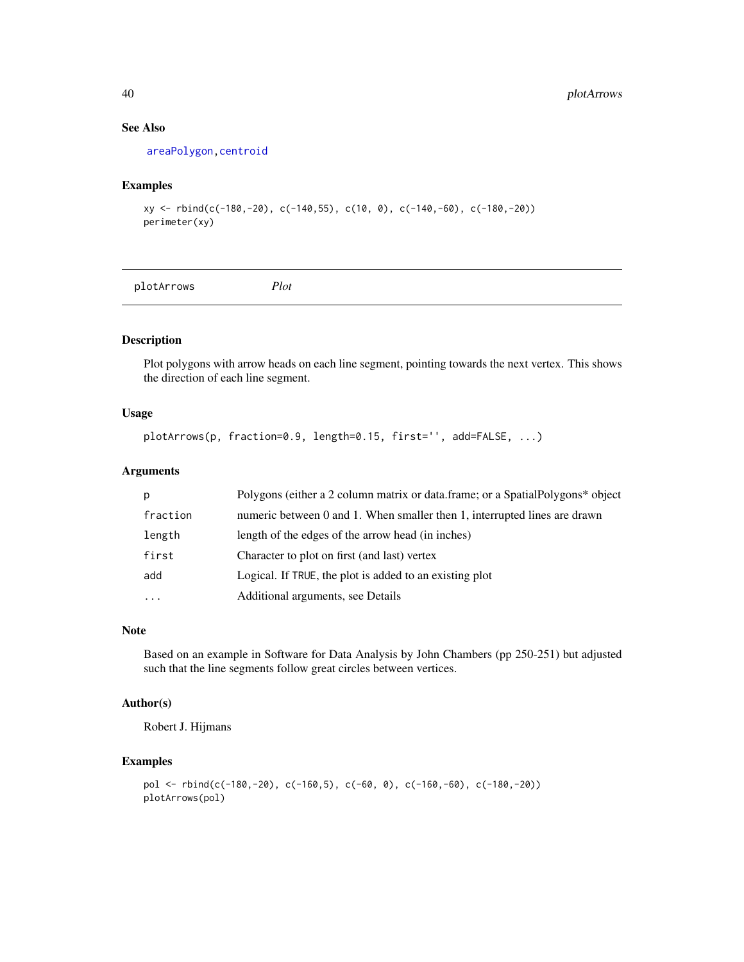# See Also

[areaPolygon,](#page-5-1)[centroid](#page-8-1)

#### Examples

```
xy <- rbind(c(-180,-20), c(-140,55), c(10, 0), c(-140,-60), c(-180,-20))
perimeter(xy)
```
plotArrows *Plot*

# Description

Plot polygons with arrow heads on each line segment, pointing towards the next vertex. This shows the direction of each line segment.

# Usage

```
plotArrows(p, fraction=0.9, length=0.15, first='', add=FALSE, ...)
```
#### Arguments

| p         | Polygons (either a 2 column matrix or data.frame; or a SpatialPolygons* object |
|-----------|--------------------------------------------------------------------------------|
| fraction  | numeric between 0 and 1. When smaller then 1, interrupted lines are drawn      |
| length    | length of the edges of the arrow head (in inches)                              |
| first     | Character to plot on first (and last) vertex                                   |
| add       | Logical. If TRUE, the plot is added to an existing plot                        |
| $\ddotsc$ | Additional arguments, see Details                                              |

#### Note

Based on an example in Software for Data Analysis by John Chambers (pp 250-251) but adjusted such that the line segments follow great circles between vertices.

## Author(s)

Robert J. Hijmans

```
pol <- rbind(c(-180,-20), c(-160,5), c(-60, 0), c(-160,-60), c(-180,-20))
plotArrows(pol)
```
<span id="page-39-0"></span>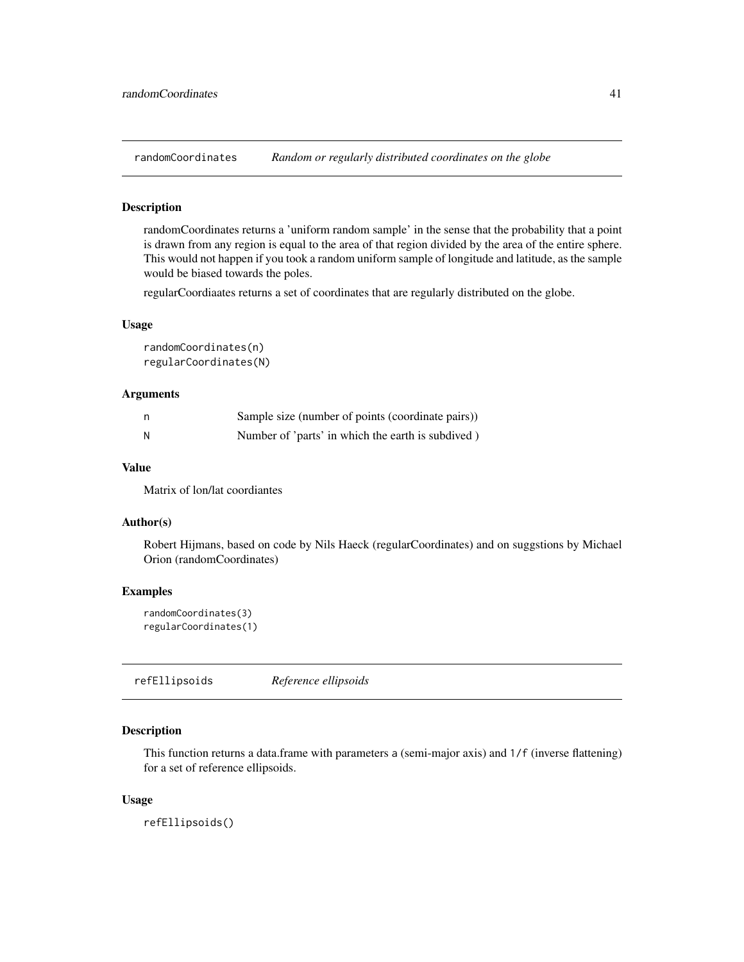<span id="page-40-0"></span>

randomCoordinates returns a 'uniform random sample' in the sense that the probability that a point is drawn from any region is equal to the area of that region divided by the area of the entire sphere. This would not happen if you took a random uniform sample of longitude and latitude, as the sample would be biased towards the poles.

regularCoordiaates returns a set of coordinates that are regularly distributed on the globe.

#### Usage

randomCoordinates(n) regularCoordinates(N)

# Arguments

| n | Sample size (number of points (coordinate pairs)) |
|---|---------------------------------------------------|
| N | Number of 'parts' in which the earth is subdived) |

# Value

Matrix of lon/lat coordiantes

#### Author(s)

Robert Hijmans, based on code by Nils Haeck (regularCoordinates) and on suggstions by Michael Orion (randomCoordinates)

#### Examples

randomCoordinates(3) regularCoordinates(1)

<span id="page-40-1"></span>refEllipsoids *Reference ellipsoids*

#### Description

This function returns a data.frame with parameters a (semi-major axis) and 1/f (inverse flattening) for a set of reference ellipsoids.

#### Usage

refEllipsoids()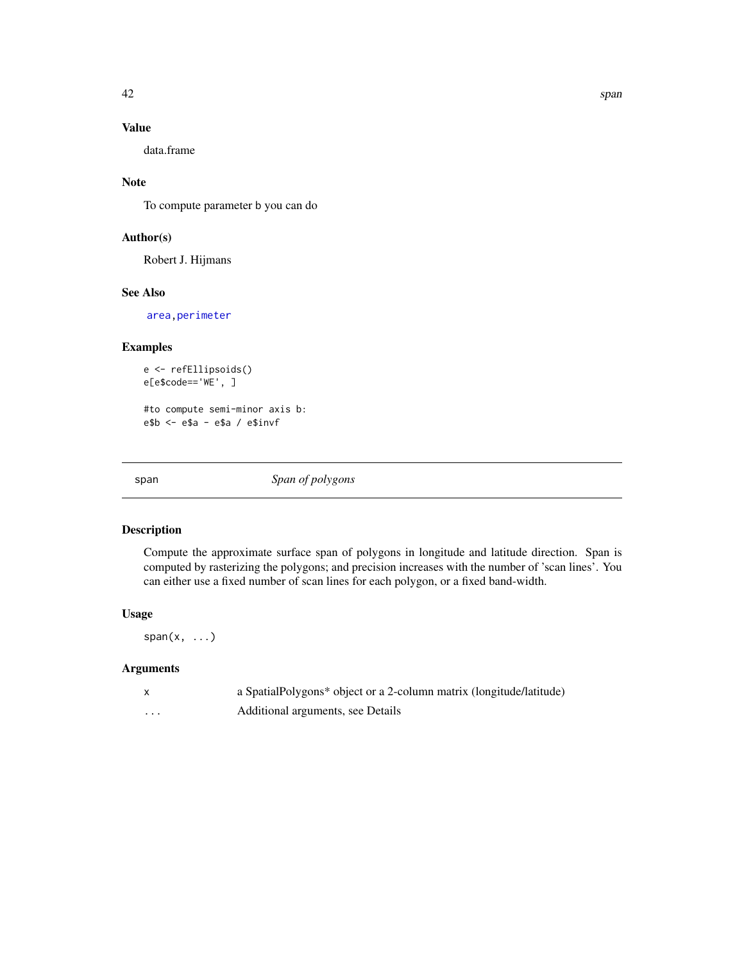# <span id="page-41-0"></span>Value

data.frame

#### Note

To compute parameter b you can do

#### Author(s)

Robert J. Hijmans

#### See Also

[area,](#page-0-0)[perimeter](#page-38-1)

# Examples

```
e <- refEllipsoids()
e[e$code=='WE', ]
```
#to compute semi-minor axis b: e\$b <- e\$a - e\$a / e\$invf

span *Span of polygons*

# Description

Compute the approximate surface span of polygons in longitude and latitude direction. Span is computed by rasterizing the polygons; and precision increases with the number of 'scan lines'. You can either use a fixed number of scan lines for each polygon, or a fixed band-width.

# Usage

 $span(x, \ldots)$ 

#### Arguments

|          | a SpatialPolygons* object or a 2-column matrix (longitude/latitude) |
|----------|---------------------------------------------------------------------|
| $\cdots$ | Additional arguments, see Details                                   |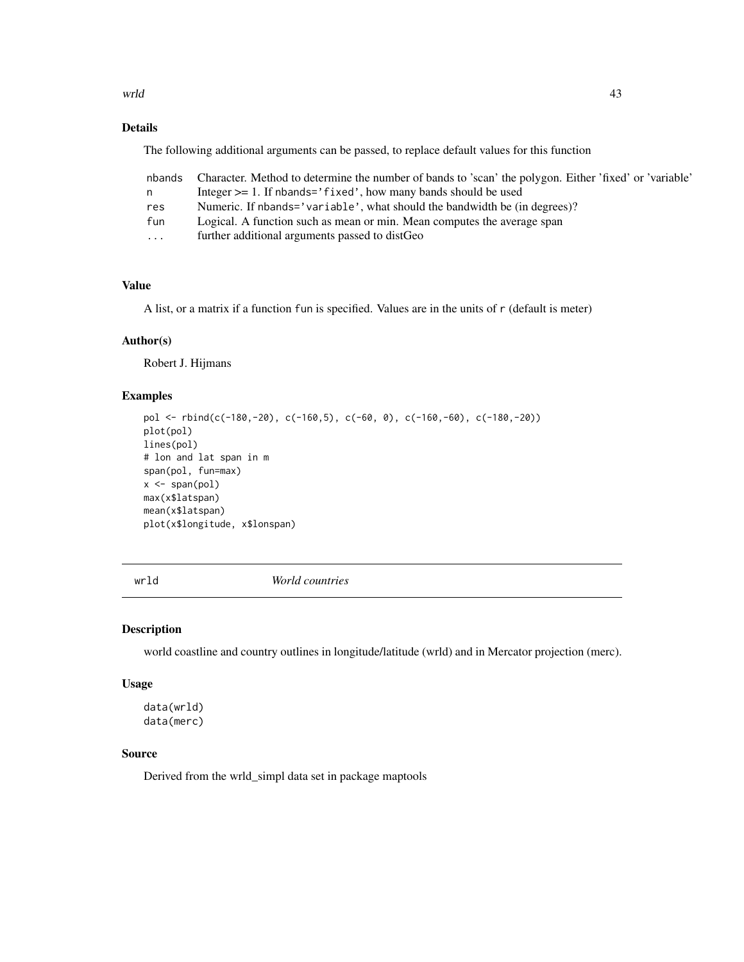<span id="page-42-0"></span>wrld the contract of the contract of the contract of the contract of the contract of the contract of the contract of the contract of the contract of the contract of the contract of the contract of the contract of the contr

# Details

The following additional arguments can be passed, to replace default values for this function

|          | nbands Character. Method to determine the number of bands to 'scan' the polygon. Either 'fixed' or 'variable' |
|----------|---------------------------------------------------------------------------------------------------------------|
| n.       | Integer $\geq$ 1. If nbands='fixed', how many bands should be used                                            |
| res      | Numeric. If nbands='variable', what should the bandwidth be (in degrees)?                                     |
| fun      | Logical. A function such as mean or min. Mean computes the average span                                       |
| $\cdots$ | further additional arguments passed to distGeo                                                                |

# Value

A list, or a matrix if a function fun is specified. Values are in the units of r (default is meter)

# Author(s)

Robert J. Hijmans

# Examples

```
pol <- rbind(c(-180,-20), c(-160,5), c(-60, 0), c(-160,-60), c(-180,-20))
plot(pol)
lines(pol)
# lon and lat span in m
span(pol, fun=max)
x \leftarrow span(pol)max(x$latspan)
mean(x$latspan)
plot(x$longitude, x$lonspan)
```
wrld *World countries*

## Description

world coastline and country outlines in longitude/latitude (wrld) and in Mercator projection (merc).

### Usage

data(wrld) data(merc)

#### Source

Derived from the wrld\_simpl data set in package maptools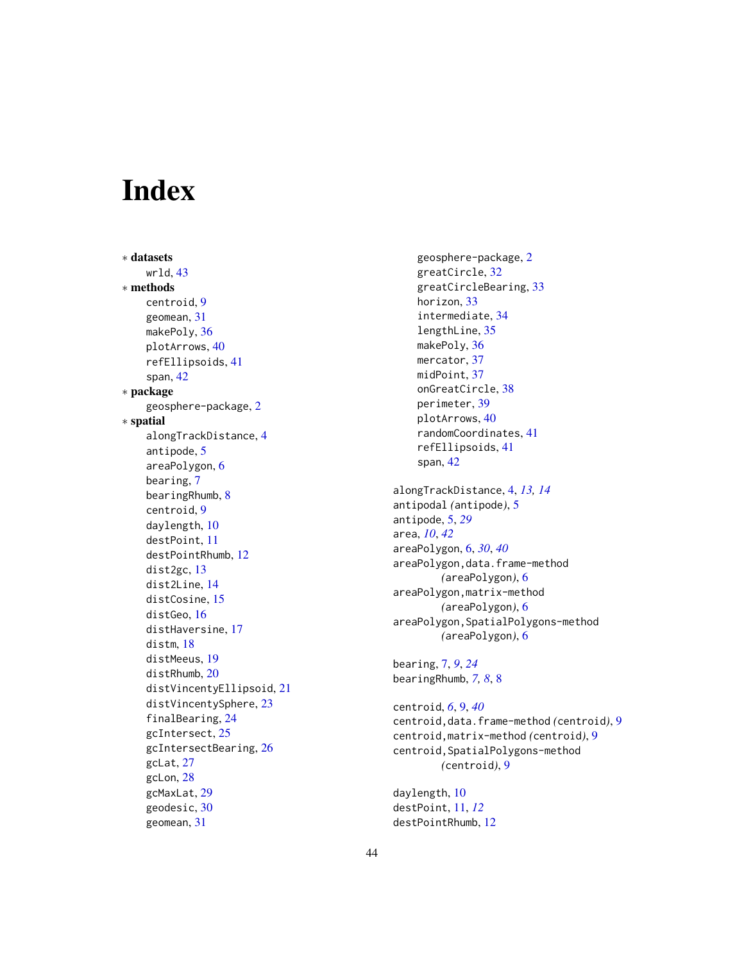# <span id="page-43-0"></span>**Index**

∗ datasets wrld, [43](#page-42-0) ∗ methods centroid, [9](#page-8-0) geomean, [31](#page-30-0) makePoly, [36](#page-35-0) plotArrows, [40](#page-39-0) refEllipsoids, [41](#page-40-0) span, [42](#page-41-0) ∗ package geosphere-package, [2](#page-1-0) ∗ spatial alongTrackDistance, [4](#page-3-0) antipode, [5](#page-4-0) areaPolygon, [6](#page-5-0) bearing, [7](#page-6-0) bearingRhumb, [8](#page-7-0) centroid, [9](#page-8-0) daylength, [10](#page-9-0) destPoint, [11](#page-10-0) destPointRhumb, [12](#page-11-0) dist2gc, [13](#page-12-0) dist2Line, [14](#page-13-0) distCosine, [15](#page-14-0) distGeo, [16](#page-15-0) distHaversine, [17](#page-16-0) distm, [18](#page-17-0) distMeeus, [19](#page-18-0) distRhumb, [20](#page-19-0) distVincentyEllipsoid, [21](#page-20-0) distVincentySphere, [23](#page-22-0) finalBearing, [24](#page-23-0) gcIntersect, [25](#page-24-0) gcIntersectBearing, [26](#page-25-0) gcLat, [27](#page-26-0) gcLon, [28](#page-27-0) gcMaxLat, [29](#page-28-0) geodesic, [30](#page-29-0) geomean, [31](#page-30-0)

geosphere-package, [2](#page-1-0) greatCircle, [32](#page-31-0) greatCircleBearing, [33](#page-32-0) horizon, [33](#page-32-0) intermediate, [34](#page-33-0) lengthLine, [35](#page-34-0) makePoly, [36](#page-35-0) mercator, [37](#page-36-0) midPoint, [37](#page-36-0) onGreatCircle, [38](#page-37-0) perimeter, [39](#page-38-0) plotArrows, [40](#page-39-0) randomCoordinates, [41](#page-40-0) refEllipsoids, [41](#page-40-0) span, [42](#page-41-0) alongTrackDistance, [4,](#page-3-0) *[13,](#page-12-0) [14](#page-13-0)* antipodal *(*antipode*)*, [5](#page-4-0) antipode, [5,](#page-4-0) *[29](#page-28-0)* area, *[10](#page-9-0)*, *[42](#page-41-0)* areaPolygon, [6,](#page-5-0) *[30](#page-29-0)*, *[40](#page-39-0)* areaPolygon,data.frame-method *(*areaPolygon*)*, [6](#page-5-0) areaPolygon,matrix-method *(*areaPolygon*)*, [6](#page-5-0) areaPolygon,SpatialPolygons-method *(*areaPolygon*)*, [6](#page-5-0)

bearing, [7,](#page-6-0) *[9](#page-8-0)*, *[24](#page-23-0)* bearingRhumb, *[7,](#page-6-0) [8](#page-7-0)*, [8](#page-7-0)

centroid, *[6](#page-5-0)*, [9,](#page-8-0) *[40](#page-39-0)* centroid,data.frame-method *(*centroid*)*, [9](#page-8-0) centroid,matrix-method *(*centroid*)*, [9](#page-8-0) centroid,SpatialPolygons-method *(*centroid*)*, [9](#page-8-0)

daylength, [10](#page-9-0) destPoint, [11,](#page-10-0) *[12](#page-11-0)* destPointRhumb, [12](#page-11-0)